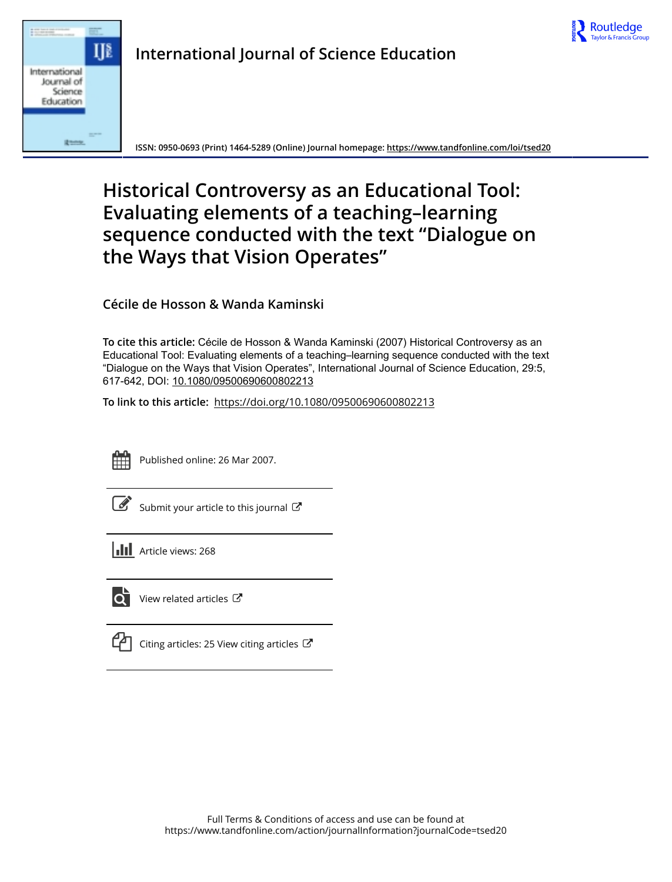



**International Journal of Science Education**

**ISSN: 0950-0693 (Print) 1464-5289 (Online) Journal homepage:<https://www.tandfonline.com/loi/tsed20>**

# **Historical Controversy as an Educational Tool: Evaluating elements of a teaching–learning sequence conducted with the text "Dialogue on the Ways that Vision Operates"**

**Cécile de Hosson & Wanda Kaminski**

**To cite this article:** Cécile de Hosson & Wanda Kaminski (2007) Historical Controversy as an Educational Tool: Evaluating elements of a teaching–learning sequence conducted with the text "Dialogue on the Ways that Vision Operates", International Journal of Science Education, 29:5, 617-642, DOI: [10.1080/09500690600802213](https://www.tandfonline.com/action/showCitFormats?doi=10.1080/09500690600802213)

**To link to this article:** <https://doi.org/10.1080/09500690600802213>



Published online: 26 Mar 2007.

|--|

[Submit your article to this journal](https://www.tandfonline.com/action/authorSubmission?journalCode=tsed20&show=instructions)  $\mathbb{Z}$ 

lo i

[View related articles](https://www.tandfonline.com/doi/mlt/10.1080/09500690600802213) C

views: 268

[Citing articles: 25 View citing articles](https://www.tandfonline.com/doi/citedby/10.1080/09500690600802213#tabModule)  $\mathbb{C}^{\bullet}$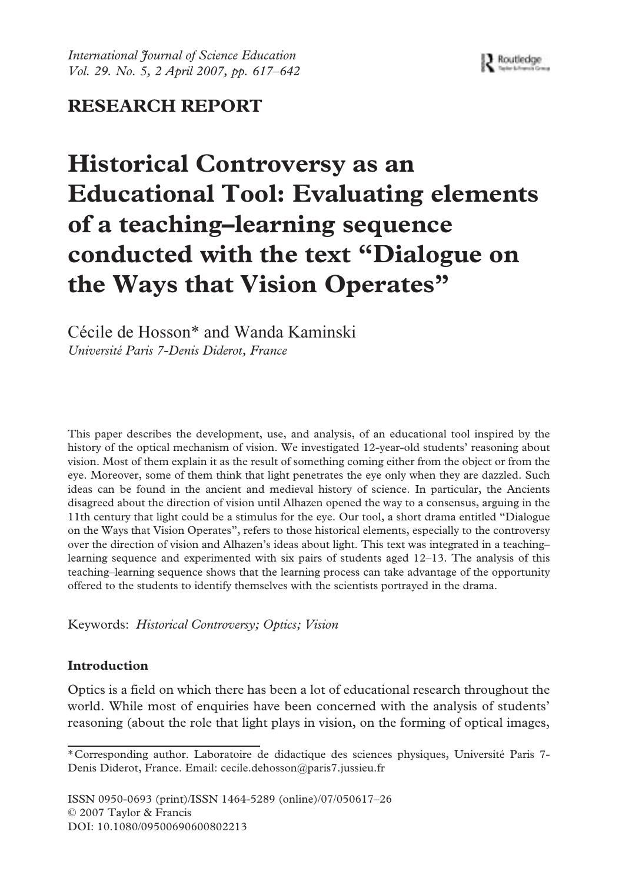*International Journal of Science Education Vol. 29. No. 5, 2 April 2007, pp. 617–642*



# **RESEARCH REPORT**

# **Historical Controversy as an Educational Tool: Evaluating elements of a teaching–learning sequence conducted with the text "Dialogue on the Ways that Vision Operates"**

Cécile de Hosson\* and Wanda Kaminski *Université Paris 7-Denis Diderot, France*

This paper describes the development, use, and analysis, of an educational tool inspired by the history of the optical mechanism of vision. We investigated 12-year-old students' reasoning about vision. Most of them explain it as the result of something coming either from the object or from the eye. Moreover, some of them think that light penetrates the eye only when they are dazzled. Such ideas can be found in the ancient and medieval history of science. In particular, the Ancients disagreed about the direction of vision until Alhazen opened the way to a consensus, arguing in the 11th century that light could be a stimulus for the eye. Our tool, a short drama entitled "Dialogue on the Ways that Vision Operates", refers to those historical elements, especially to the controversy over the direction of vision and Alhazen's ideas about light. This text was integrated in a teaching– learning sequence and experimented with six pairs of students aged 12–13. The analysis of this teaching–learning sequence shows that the learning process can take advantage of the opportunity offered to the students to identify themselves with the scientists portrayed in the drama.

Keywords: *Historical Controversy; Optics; Vision*

# **Introduction**

Optics is a field on which there has been a lot of educational research throughout the world. While most of enquiries have been concerned with the analysis of students' reasoning (about the role that light plays in vision, on the forming of optical images,

ISSN 0950-0693 (print)/ISSN 1464-5289 (online)/07/050617–26 © 2007 Taylor & Francis DOI: 10.1080/09500690600802213

<sup>\*</sup>Corresponding author. Laboratoire de didactique des sciences physiques, Université Paris 7- Denis Diderot, France. Email: cecile.dehosson@paris7.jussieu.fr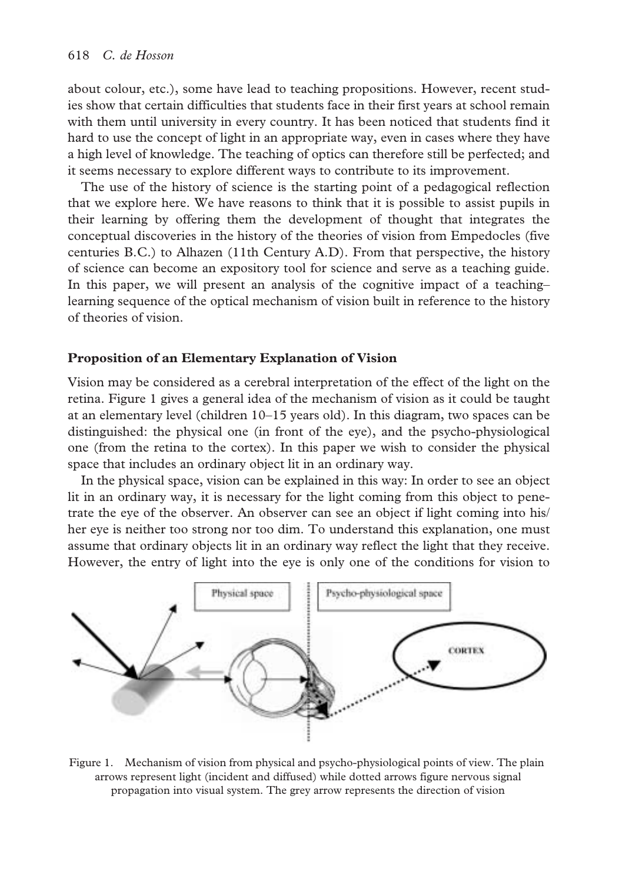about colour, etc.), some have lead to teaching propositions. However, recent studies show that certain difficulties that students face in their first years at school remain with them until university in every country. It has been noticed that students find it hard to use the concept of light in an appropriate way, even in cases where they have a high level of knowledge. The teaching of optics can therefore still be perfected; and it seems necessary to explore different ways to contribute to its improvement.

The use of the history of science is the starting point of a pedagogical reflection that we explore here. We have reasons to think that it is possible to assist pupils in their learning by offering them the development of thought that integrates the conceptual discoveries in the history of the theories of vision from Empedocles (five centuries B.C.) to Alhazen (11th Century A.D). From that perspective, the history of science can become an expository tool for science and serve as a teaching guide. In this paper, we will present an analysis of the cognitive impact of a teaching– learning sequence of the optical mechanism of vision built in reference to the history of theories of vision.

#### **Proposition of an Elementary Explanation of Vision**

Vision may be considered as a cerebral interpretation of the effect of the light on the retina. Figure 1 gives a general idea of the mechanism of vision as it could be taught at an elementary level (children 10–15 years old). In this diagram, two spaces can be distinguished: the physical one (in front of the eye), and the psycho-physiological one (from the retina to the cortex). In this paper we wish to consider the physical space that includes an ordinary object lit in an ordinary way.

In the physical space, vision can be explained in this way: In order to see an object lit in an ordinary way, it is necessary for the light coming from this object to penetrate the eye of the observer. An observer can see an object if light coming into his/ her eye is neither too strong nor too dim. To understand this explanation, one must assume that ordinary objects lit in an ordinary way reflect the light that they receive. However, the entry of light into the eye is only one of the conditions for vision to



Figure 1. Mechanism of vision from physical and psycho-physiological points of view. The plain arrows represent light (incident and diffused) while dotted arrows figure nervous signal propagation into visual system. The grey arrow represents the direction of vision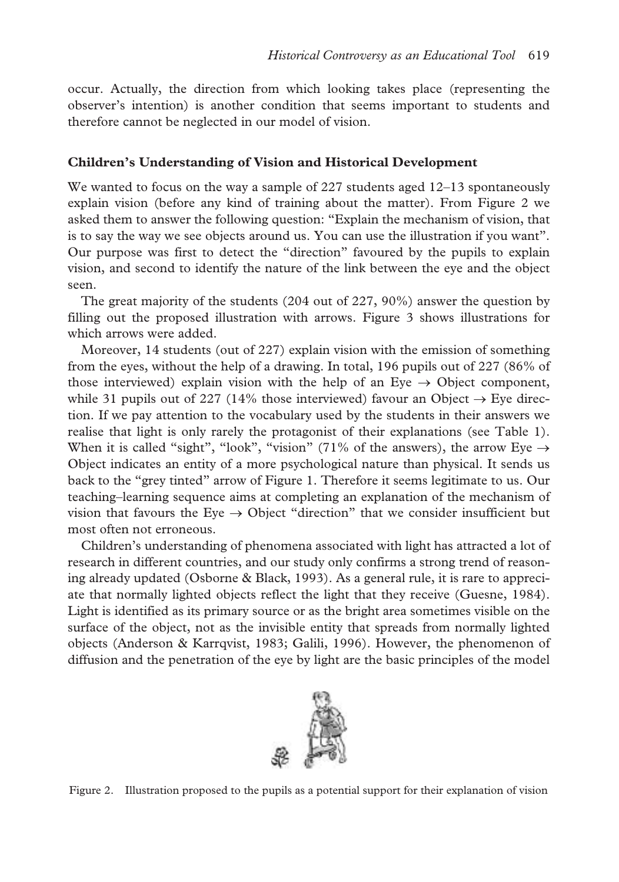occur. Actually, the direction from which looking takes place (representing the observer's intention) is another condition that seems important to students and therefore cannot be neglected in our model of vision.

#### **Children's Understanding of Vision and Historical Development**

We wanted to focus on the way a sample of 227 students aged 12–13 spontaneously explain vision (before any kind of training about the matter). From Figure 2 we asked them to answer the following question: "Explain the mechanism of vision, that is to say the way we see objects around us. You can use the illustration if you want". Our purpose was first to detect the "direction" favoured by the pupils to explain vision, and second to identify the nature of the link between the eye and the object seen.

The great majority of the students (204 out of 227, 90%) answer the question by filling out the proposed illustration with arrows. Figure 3 shows illustrations for which arrows were added.

Moreover, 14 students (out of 227) explain vision with the emission of something from the eyes, without the help of a drawing. In total, 196 pupils out of 227 (86% of those interviewed) explain vision with the help of an Eye  $\rightarrow$  Object component, while 31 pupils out of 227 (14% those interviewed) favour an Object  $\rightarrow$  Eye direction. If we pay attention to the vocabulary used by the students in their answers we realise that light is only rarely the protagonist of their explanations (see Table 1). When it is called "sight", "look", "vision" (71% of the answers), the arrow Eye  $\rightarrow$ Object indicates an entity of a more psychological nature than physical. It sends us back to the "grey tinted" arrow of Figure 1. Therefore it seems legitimate to us. Our teaching–learning sequence aims at completing an explanation of the mechanism of vision that favours the Eye  $\rightarrow$  Object "direction" that we consider insufficient but most often not erroneous.

Children's understanding of phenomena associated with light has attracted a lot of research in different countries, and our study only confirms a strong trend of reasoning already updated (Osborne & Black, 1993). As a general rule, it is rare to appreciate that normally lighted objects reflect the light that they receive (Guesne, 1984). Light is identified as its primary source or as the bright area sometimes visible on the surface of the object, not as the invisible entity that spreads from normally lighted objects (Anderson & Karrqvist, 1983; Galili, 1996). However, the phenomenon of diffusion and the penetration of the eye by light are the basic principles of the model



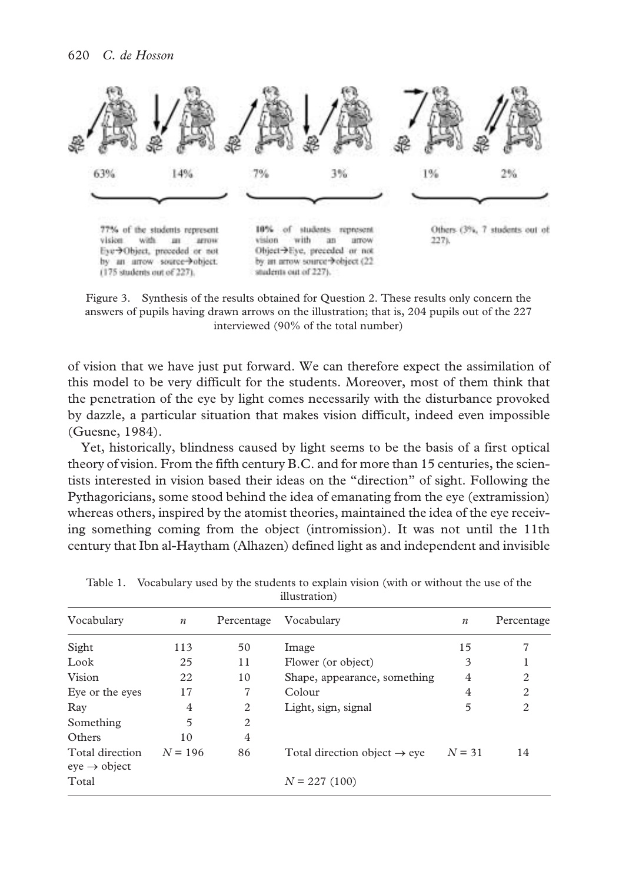

Figure 3. Synthesis of the results obtained for Question 2. These results only concern the answers of pupils having drawn arrows on the illustration; that is, 204 pupils out of the 227 interviewed (90% of the total number)

of vision that we have just put forward. We can therefore expect the assimilation of this model to be very difficult for the students. Moreover, most of them think that the penetration of the eye by light comes necessarily with the disturbance provoked by dazzle, a particular situation that makes vision difficult, indeed even impossible (Guesne, 1984).

Yet, historically, blindness caused by light seems to be the basis of a first optical theory of vision. From the fifth century B.C. and for more than 15 centuries, the scientists interested in vision based their ideas on the "direction" of sight. Following the Pythagoricians, some stood behind the idea of emanating from the eye (extramission) whereas others, inspired by the atomist theories, maintained the idea of the eye receiving something coming from the object (intromission). It was not until the 11th century that Ibn al-Haytham (Alhazen) defined light as and independent and invisible

| Vocabulary                                  | $\boldsymbol{n}$ | Percentage | Vocabulary                               | $\boldsymbol{n}$ | Percentage |
|---------------------------------------------|------------------|------------|------------------------------------------|------------------|------------|
| Sight                                       | 113              | 50         | Image                                    | 15               |            |
| Look                                        | 25               | 11         | Flower (or object)                       | 3                |            |
| Vision                                      | 22               | 10         | Shape, appearance, something             | 4                | 2          |
| Eye or the eyes                             | 17               | 7          | Colour                                   | 4                | 2          |
| Ray                                         | 4                | 2          | Light, sign, signal                      | 5                | 2          |
| Something                                   | 5                | 2          |                                          |                  |            |
| Others                                      | 10               | 4          |                                          |                  |            |
| Total direction<br>$eye \rightarrow object$ | $N = 196$        | 86         | Total direction object $\rightarrow$ eve | $N = 31$         | 14         |
| Total                                       |                  |            | $N = 227(100)$                           |                  |            |

Table 1. Vocabulary used by the students to explain vision (with or without the use of the illustration)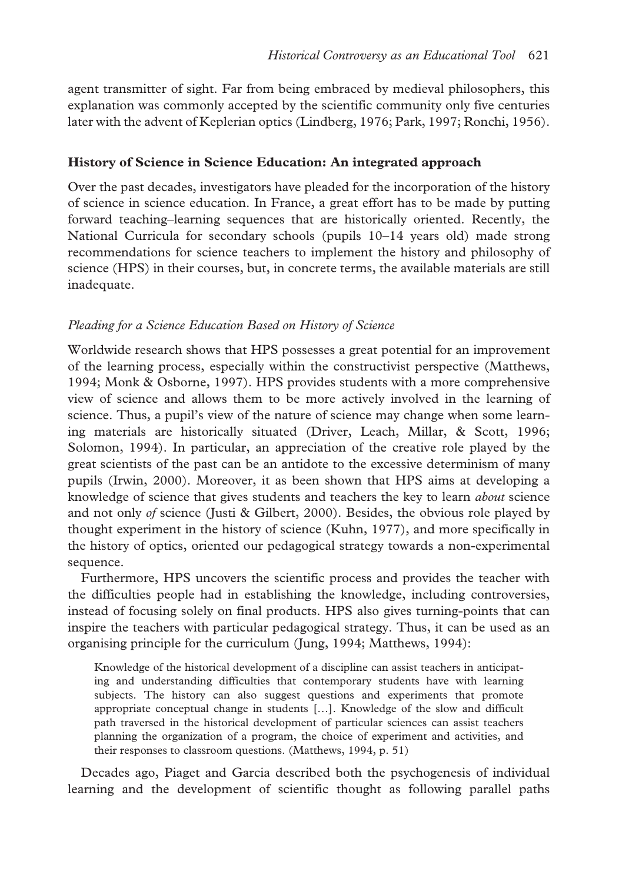agent transmitter of sight. Far from being embraced by medieval philosophers, this explanation was commonly accepted by the scientific community only five centuries later with the advent of Keplerian optics (Lindberg, 1976; Park, 1997; Ronchi, 1956).

# **History of Science in Science Education: An integrated approach**

Over the past decades, investigators have pleaded for the incorporation of the history of science in science education. In France, a great effort has to be made by putting forward teaching–learning sequences that are historically oriented. Recently, the National Curricula for secondary schools (pupils 10–14 years old) made strong recommendations for science teachers to implement the history and philosophy of science (HPS) in their courses, but, in concrete terms, the available materials are still inadequate.

# *Pleading for a Science Education Based on History of Science*

Worldwide research shows that HPS possesses a great potential for an improvement of the learning process, especially within the constructivist perspective (Matthews, 1994; Monk & Osborne, 1997). HPS provides students with a more comprehensive view of science and allows them to be more actively involved in the learning of science. Thus, a pupil's view of the nature of science may change when some learning materials are historically situated (Driver, Leach, Millar, & Scott, 1996; Solomon, 1994). In particular, an appreciation of the creative role played by the great scientists of the past can be an antidote to the excessive determinism of many pupils (Irwin, 2000). Moreover, it as been shown that HPS aims at developing a knowledge of science that gives students and teachers the key to learn *about* science and not only *of* science (Justi & Gilbert, 2000). Besides, the obvious role played by thought experiment in the history of science (Kuhn, 1977), and more specifically in the history of optics, oriented our pedagogical strategy towards a non-experimental sequence.

Furthermore, HPS uncovers the scientific process and provides the teacher with the difficulties people had in establishing the knowledge, including controversies, instead of focusing solely on final products. HPS also gives turning-points that can inspire the teachers with particular pedagogical strategy. Thus, it can be used as an organising principle for the curriculum (Jung, 1994; Matthews, 1994):

Knowledge of the historical development of a discipline can assist teachers in anticipating and understanding difficulties that contemporary students have with learning subjects. The history can also suggest questions and experiments that promote appropriate conceptual change in students […]. Knowledge of the slow and difficult path traversed in the historical development of particular sciences can assist teachers planning the organization of a program, the choice of experiment and activities, and their responses to classroom questions. (Matthews, 1994, p. 51)

Decades ago, Piaget and Garcia described both the psychogenesis of individual learning and the development of scientific thought as following parallel paths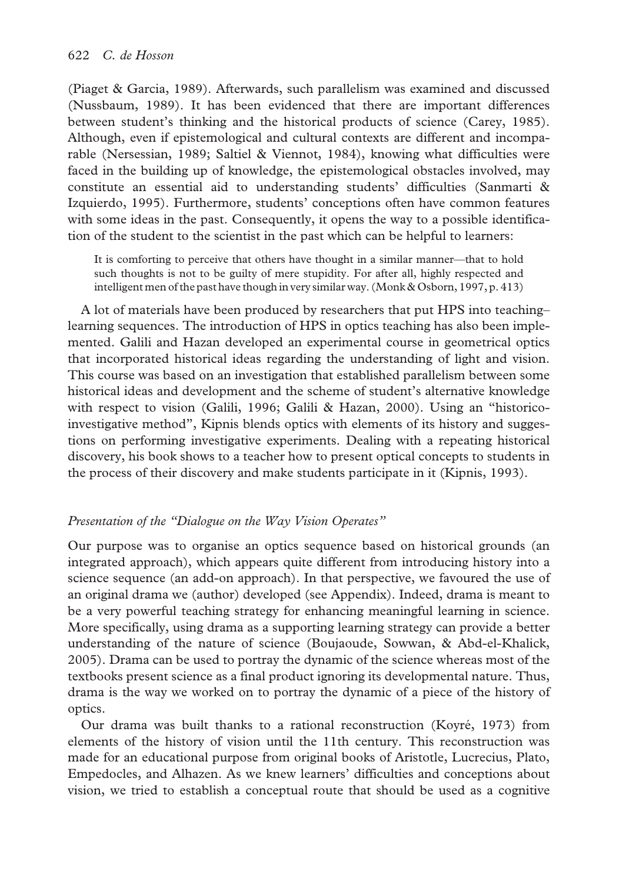(Piaget & Garcia, 1989). Afterwards, such parallelism was examined and discussed (Nussbaum, 1989). It has been evidenced that there are important differences between student's thinking and the historical products of science (Carey, 1985). Although, even if epistemological and cultural contexts are different and incomparable (Nersessian, 1989; Saltiel & Viennot, 1984), knowing what difficulties were faced in the building up of knowledge, the epistemological obstacles involved, may constitute an essential aid to understanding students' difficulties (Sanmarti & Izquierdo, 1995). Furthermore, students' conceptions often have common features with some ideas in the past. Consequently, it opens the way to a possible identification of the student to the scientist in the past which can be helpful to learners:

It is comforting to perceive that others have thought in a similar manner—that to hold such thoughts is not to be guilty of mere stupidity. For after all, highly respected and intelligent men of the past have though in very similar way. (Monk & Osborn, 1997, p. 413)

A lot of materials have been produced by researchers that put HPS into teaching– learning sequences. The introduction of HPS in optics teaching has also been implemented. Galili and Hazan developed an experimental course in geometrical optics that incorporated historical ideas regarding the understanding of light and vision. This course was based on an investigation that established parallelism between some historical ideas and development and the scheme of student's alternative knowledge with respect to vision (Galili, 1996; Galili & Hazan, 2000). Using an "historicoinvestigative method", Kipnis blends optics with elements of its history and suggestions on performing investigative experiments. Dealing with a repeating historical discovery, his book shows to a teacher how to present optical concepts to students in the process of their discovery and make students participate in it (Kipnis, 1993).

# *Presentation of the "Dialogue on the Way Vision Operates"*

Our purpose was to organise an optics sequence based on historical grounds (an integrated approach), which appears quite different from introducing history into a science sequence (an add-on approach). In that perspective, we favoured the use of an original drama we (author) developed (see Appendix). Indeed, drama is meant to be a very powerful teaching strategy for enhancing meaningful learning in science. More specifically, using drama as a supporting learning strategy can provide a better understanding of the nature of science (Boujaoude, Sowwan, & Abd-el-Khalick, 2005). Drama can be used to portray the dynamic of the science whereas most of the textbooks present science as a final product ignoring its developmental nature. Thus, drama is the way we worked on to portray the dynamic of a piece of the history of optics.

Our drama was built thanks to a rational reconstruction (Koyré, 1973) from elements of the history of vision until the 11th century. This reconstruction was made for an educational purpose from original books of Aristotle, Lucrecius, Plato, Empedocles, and Alhazen. As we knew learners' difficulties and conceptions about vision, we tried to establish a conceptual route that should be used as a cognitive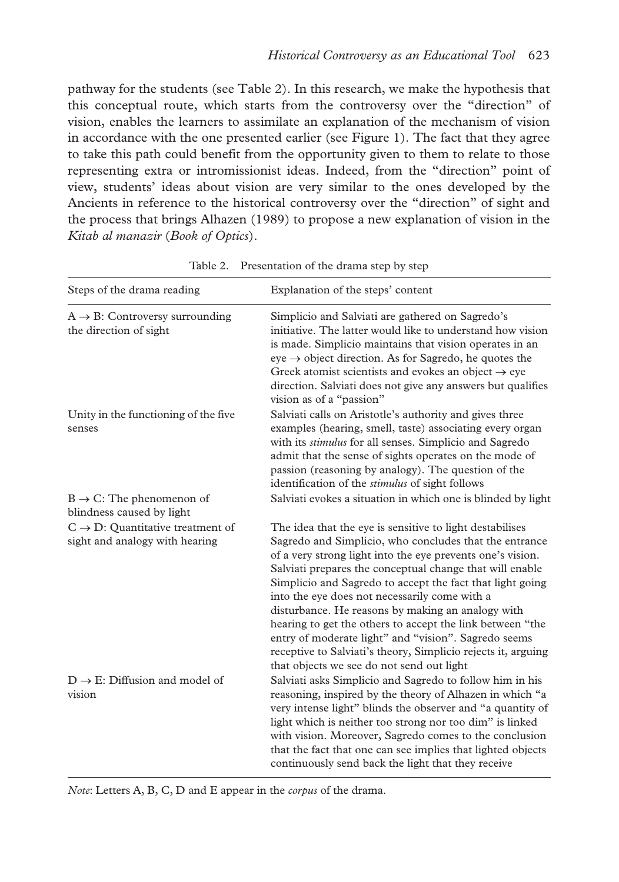pathway for the students (see Table 2). In this research, we make the hypothesis that this conceptual route, which starts from the controversy over the "direction" of vision, enables the learners to assimilate an explanation of the mechanism of vision in accordance with the one presented earlier (see Figure 1). The fact that they agree to take this path could benefit from the opportunity given to them to relate to those representing extra or intromissionist ideas. Indeed, from the "direction" point of view, students' ideas about vision are very similar to the ones developed by the Ancients in reference to the historical controversy over the "direction" of sight and the process that brings Alhazen (1989) to propose a new explanation of vision in the *Kitab al manazir* (*Book of Optics*).

| Steps of the drama reading                                                      | Explanation of the steps' content                                                                                                                                                                                                                                                                                                                                                                                                                                                                                                                                                                                                                  |
|---------------------------------------------------------------------------------|----------------------------------------------------------------------------------------------------------------------------------------------------------------------------------------------------------------------------------------------------------------------------------------------------------------------------------------------------------------------------------------------------------------------------------------------------------------------------------------------------------------------------------------------------------------------------------------------------------------------------------------------------|
| $A \rightarrow B$ : Controversy surrounding<br>the direction of sight           | Simplicio and Salviati are gathered on Sagredo's<br>initiative. The latter would like to understand how vision<br>is made. Simplicio maintains that vision operates in an<br>$eye \rightarrow object$ direction. As for Sagredo, he quotes the<br>Greek atomist scientists and evokes an object $\rightarrow$ eye<br>direction. Salviati does not give any answers but qualifies<br>vision as of a "passion"                                                                                                                                                                                                                                       |
| Unity in the functioning of the five<br>senses                                  | Salviati calls on Aristotle's authority and gives three<br>examples (hearing, smell, taste) associating every organ<br>with its stimulus for all senses. Simplicio and Sagredo<br>admit that the sense of sights operates on the mode of<br>passion (reasoning by analogy). The question of the<br>identification of the stimulus of sight follows                                                                                                                                                                                                                                                                                                 |
| $B \rightarrow C$ : The phenomenon of<br>blindness caused by light              | Salviati evokes a situation in which one is blinded by light                                                                                                                                                                                                                                                                                                                                                                                                                                                                                                                                                                                       |
| $C \rightarrow D$ : Quantitative treatment of<br>sight and analogy with hearing | The idea that the eye is sensitive to light destabilises<br>Sagredo and Simplicio, who concludes that the entrance<br>of a very strong light into the eye prevents one's vision.<br>Salviati prepares the conceptual change that will enable<br>Simplicio and Sagredo to accept the fact that light going<br>into the eye does not necessarily come with a<br>disturbance. He reasons by making an analogy with<br>hearing to get the others to accept the link between "the<br>entry of moderate light" and "vision". Sagredo seems<br>receptive to Salviati's theory, Simplicio rejects it, arguing<br>that objects we see do not send out light |
| $D \rightarrow E$ : Diffusion and model of<br>vision                            | Salviati asks Simplicio and Sagredo to follow him in his<br>reasoning, inspired by the theory of Alhazen in which "a<br>very intense light" blinds the observer and "a quantity of<br>light which is neither too strong nor too dim" is linked<br>with vision. Moreover, Sagredo comes to the conclusion<br>that the fact that one can see implies that lighted objects<br>continuously send back the light that they receive                                                                                                                                                                                                                      |

Table 2. Presentation of the drama step by step

*Note*: Letters A, B, C, D and E appear in the *corpus* of the drama.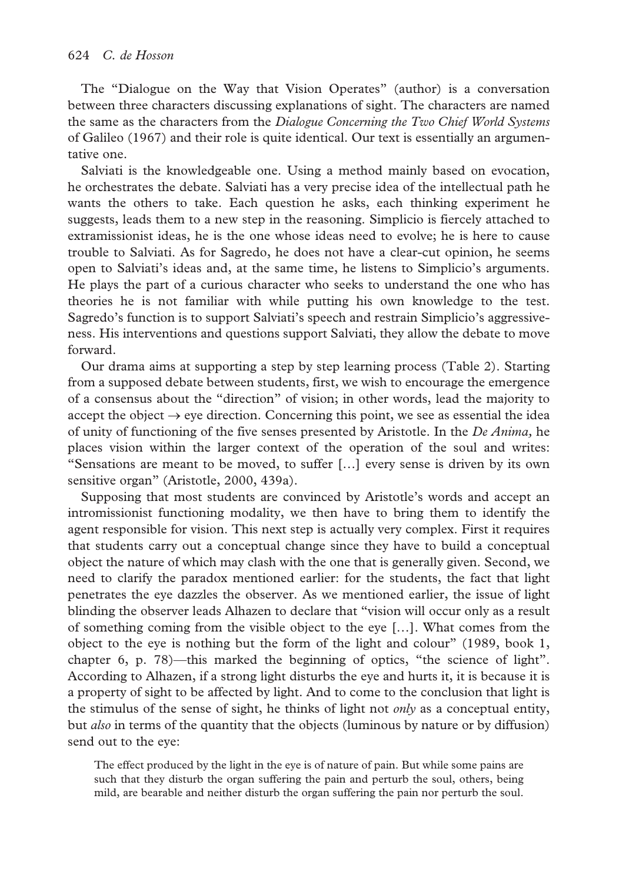The "Dialogue on the Way that Vision Operates" (author) is a conversation between three characters discussing explanations of sight. The characters are named the same as the characters from the *Dialogue Concerning the Two Chief World Systems* of Galileo (1967) and their role is quite identical. Our text is essentially an argumentative one.

Salviati is the knowledgeable one. Using a method mainly based on evocation, he orchestrates the debate. Salviati has a very precise idea of the intellectual path he wants the others to take. Each question he asks, each thinking experiment he suggests, leads them to a new step in the reasoning. Simplicio is fiercely attached to extramissionist ideas, he is the one whose ideas need to evolve; he is here to cause trouble to Salviati. As for Sagredo, he does not have a clear-cut opinion, he seems open to Salviati's ideas and, at the same time, he listens to Simplicio's arguments. He plays the part of a curious character who seeks to understand the one who has theories he is not familiar with while putting his own knowledge to the test. Sagredo's function is to support Salviati's speech and restrain Simplicio's aggressiveness. His interventions and questions support Salviati, they allow the debate to move forward.

Our drama aims at supporting a step by step learning process (Table 2). Starting from a supposed debate between students, first, we wish to encourage the emergence of a consensus about the "direction" of vision; in other words, lead the majority to accept the object  $\rightarrow$  eye direction. Concerning this point, we see as essential the idea of unity of functioning of the five senses presented by Aristotle. In the *De Anima,* he places vision within the larger context of the operation of the soul and writes: "Sensations are meant to be moved, to suffer […] every sense is driven by its own sensitive organ" (Aristotle, 2000, 439a).

Supposing that most students are convinced by Aristotle's words and accept an intromissionist functioning modality, we then have to bring them to identify the agent responsible for vision. This next step is actually very complex. First it requires that students carry out a conceptual change since they have to build a conceptual object the nature of which may clash with the one that is generally given. Second, we need to clarify the paradox mentioned earlier: for the students, the fact that light penetrates the eye dazzles the observer. As we mentioned earlier, the issue of light blinding the observer leads Alhazen to declare that "vision will occur only as a result of something coming from the visible object to the eye […]. What comes from the object to the eye is nothing but the form of the light and colour" (1989, book 1, chapter 6, p. 78)—this marked the beginning of optics, "the science of light". According to Alhazen, if a strong light disturbs the eye and hurts it, it is because it is a property of sight to be affected by light. And to come to the conclusion that light is the stimulus of the sense of sight, he thinks of light not *only* as a conceptual entity, but *also* in terms of the quantity that the objects (luminous by nature or by diffusion) send out to the eye:

The effect produced by the light in the eye is of nature of pain. But while some pains are such that they disturb the organ suffering the pain and perturb the soul, others, being mild, are bearable and neither disturb the organ suffering the pain nor perturb the soul.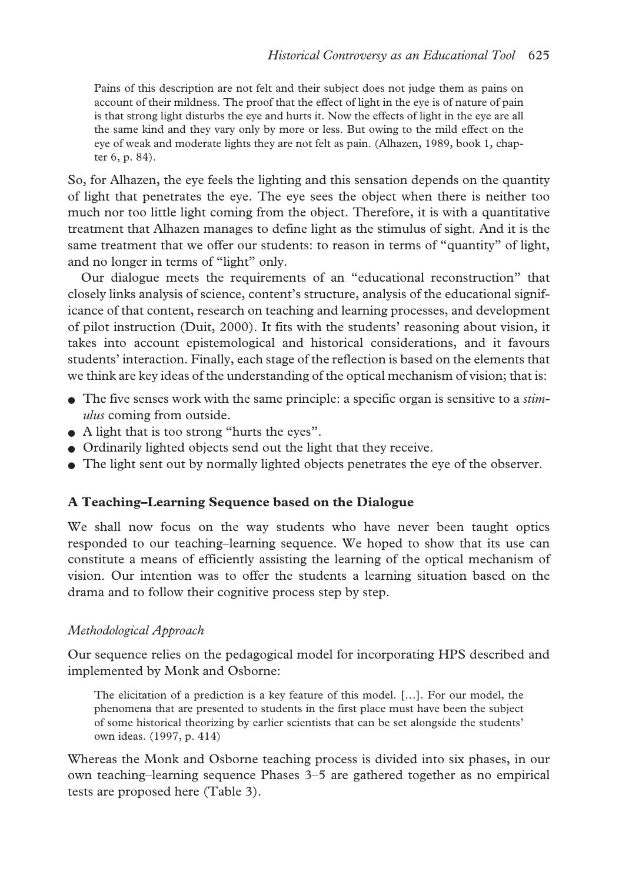Pains of this description are not felt and their subject does not judge them as pains on account of their mildness. The proof that the effect of light in the eye is of nature of pain is that strong light disturbs the eye and hurts it. Now the effects of light in the eye are all the same kind and they vary only by more or less. But owing to the mild effect on the eye of weak and moderate lights they are not felt as pain. (Alhazen, 1989, book 1, chapter 6, p. 84).

So, for Alhazen, the eye feels the lighting and this sensation depends on the quantity of light that penetrates the eye. The eye sees the object when there is neither too much nor too little light coming from the object. Therefore, it is with a quantitative treatment that Alhazen manages to define light as the stimulus of sight. And it is the same treatment that we offer our students: to reason in terms of "quantity" of light, and no longer in terms of "light" only.

Our dialogue meets the requirements of an "educational reconstruction" that closely links analysis of science, content's structure, analysis of the educational significance of that content, research on teaching and learning processes, and development of pilot instruction (Duit, 2000). It fits with the students' reasoning about vision, it takes into account epistemological and historical considerations, and it favours students' interaction. Finally, each stage of the reflection is based on the elements that we think are key ideas of the understanding of the optical mechanism of vision; that is:

- The five senses work with the same principle: a specific organ is sensitive to a *stimulus* coming from outside.
- A light that is too strong "hurts the eyes".
- Ordinarily lighted objects send out the light that they receive.
- The light sent out by normally lighted objects penetrates the eye of the observer.

# **A Teaching–Learning Sequence based on the Dialogue**

We shall now focus on the way students who have never been taught optics responded to our teaching–learning sequence. We hoped to show that its use can constitute a means of efficiently assisting the learning of the optical mechanism of vision. Our intention was to offer the students a learning situation based on the drama and to follow their cognitive process step by step.

# *Methodological Approach*

Our sequence relies on the pedagogical model for incorporating HPS described and implemented by Monk and Osborne:

The elicitation of a prediction is a key feature of this model. […]. For our model, the phenomena that are presented to students in the first place must have been the subject of some historical theorizing by earlier scientists that can be set alongside the students' own ideas. (1997, p. 414)

Whereas the Monk and Osborne teaching process is divided into six phases, in our own teaching–learning sequence Phases 3–5 are gathered together as no empirical tests are proposed here (Table 3).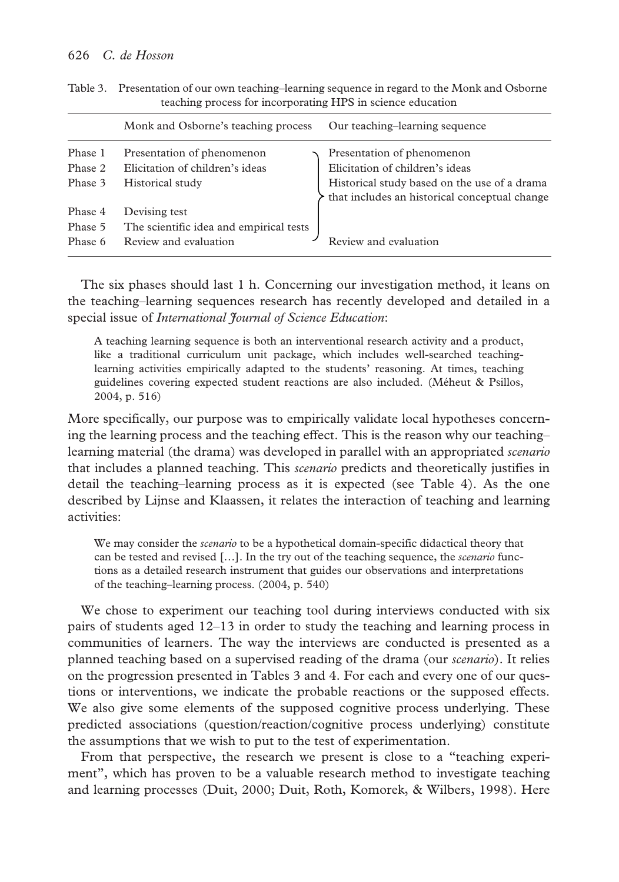#### 626 *C. de Hosson*

|         | reaching process for incorporating Firs in science education |                                                                                               |
|---------|--------------------------------------------------------------|-----------------------------------------------------------------------------------------------|
|         | Monk and Osborne's teaching process                          | Our teaching-learning sequence                                                                |
| Phase 1 | Presentation of phenomenon                                   | Presentation of phenomenon                                                                    |
| Phase 2 | Elicitation of children's ideas                              | Elicitation of children's ideas                                                               |
| Phase 3 | Historical study                                             | Historical study based on the use of a drama<br>that includes an historical conceptual change |
| Phase 4 | Devising test                                                |                                                                                               |
| Phase 5 | The scientific idea and empirical tests                      |                                                                                               |
| Phase 6 | Review and evaluation                                        | Review and evaluation                                                                         |

Table 3. Presentation of our own teaching–learning sequence in regard to the Monk and Osborne teaching process for incorporating HPS in science education

The six phases should last 1 h. Concerning our investigation method, it leans on the teaching–learning sequences research has recently developed and detailed in a special issue of *International Journal of Science Education*:

A teaching learning sequence is both an interventional research activity and a product, like a traditional curriculum unit package, which includes well-searched teachinglearning activities empirically adapted to the students' reasoning. At times, teaching guidelines covering expected student reactions are also included. (Méheut & Psillos, 2004, p. 516)

More specifically, our purpose was to empirically validate local hypotheses concerning the learning process and the teaching effect. This is the reason why our teaching– learning material (the drama) was developed in parallel with an appropriated *scenario* that includes a planned teaching. This *scenario* predicts and theoretically justifies in detail the teaching–learning process as it is expected (see Table 4). As the one described by Lijnse and Klaassen, it relates the interaction of teaching and learning activities:

We may consider the *scenario* to be a hypothetical domain-specific didactical theory that can be tested and revised […]. In the try out of the teaching sequence, the *scenario* functions as a detailed research instrument that guides our observations and interpretations of the teaching–learning process. (2004, p. 540)

We chose to experiment our teaching tool during interviews conducted with six pairs of students aged 12–13 in order to study the teaching and learning process in communities of learners. The way the interviews are conducted is presented as a planned teaching based on a supervised reading of the drama (our *scenario*). It relies on the progression presented in Tables 3 and 4. For each and every one of our questions or interventions, we indicate the probable reactions or the supposed effects. We also give some elements of the supposed cognitive process underlying. These predicted associations (question/reaction/cognitive process underlying) constitute the assumptions that we wish to put to the test of experimentation.

From that perspective, the research we present is close to a "teaching experiment", which has proven to be a valuable research method to investigate teaching and learning processes (Duit, 2000; Duit, Roth, Komorek, & Wilbers, 1998). Here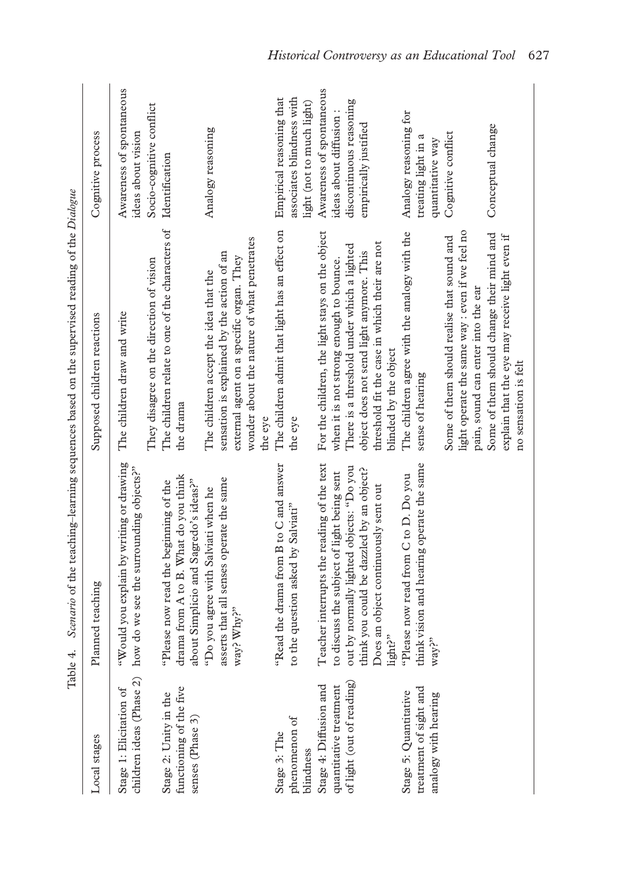|                                                                         | Table 4.                                                                                                                                             | Scenario of the teaching-learning sequences based on the supervised reading of the Dialogue                                                                                              |                                                                                    |
|-------------------------------------------------------------------------|------------------------------------------------------------------------------------------------------------------------------------------------------|------------------------------------------------------------------------------------------------------------------------------------------------------------------------------------------|------------------------------------------------------------------------------------|
| Local stages                                                            | Planned teaching                                                                                                                                     | Supposed children reactions                                                                                                                                                              | Cognitive process                                                                  |
| children ideas (Phase 2)<br>Stage 1: Elicitation of                     | "Would you explain by writing or drawing<br>how do we see the surrounding objects?"                                                                  | The children draw and write                                                                                                                                                              | Awareness of spontaneous<br>ideas about vision                                     |
|                                                                         |                                                                                                                                                      | They disagree on the direction of vision                                                                                                                                                 | Socio-cognitive conflict                                                           |
| functioning of the five<br>Stage 2: Unity in the<br>senses (Phase 3)    | drama from A to B. What do you think<br>about Simplicio and Sagredo's ideas?"<br>"Please now read the beginning of the                               | The children relate to one of the characters of<br>the drama                                                                                                                             | Identification                                                                     |
|                                                                         | asserts that all senses operate the same<br>"Do you agree with Salviati when he<br>way? Why?"                                                        | wonder about the nature of what penetrates<br>sensation is explained by the action of an<br>external agent on a specific organ. They<br>The children accept the idea that the<br>the eye | Analogy reasoning                                                                  |
| phenomenon of<br>Stage 3: The<br>blindness                              | ad the drama from B to C and answer<br>to the question asked by Salviati"<br>"Rea                                                                    | The children admit that light has an effect on<br>the eye                                                                                                                                | Empirical reasoning that<br>associates blindness with<br>light (not to much light) |
| Stage 4: Diffusion and<br>quantitative treatment                        | Teacher interrupts the reading of the text<br>to discuss the subject of light being sent                                                             | For the children, the light stays on the object<br>when it is not strong enough to bounce.                                                                                               | Awareness of spontaneous<br>ideas about diffusion                                  |
| of light (out of reading)                                               | by normally lighted objects: "Do you<br>think you could be dazzled by an object?<br>Does an object continuously sent out<br>light?"<br>$\frac{1}{2}$ | threshold fit the case in which their are not<br>There is a threshold under which a lighted<br>object does not send light anymore. This<br>blinded by the object                         | discontinuous reasoning<br>empirically justified                                   |
| treatment of sight and<br>Stage 5: Quantitative<br>analogy with hearing | think vision and hearing operate the same<br>"Please now read from C to D. Do you<br>way?"                                                           | The children agree with the analogy with the<br>sense of hearing                                                                                                                         | Analogy reasoning for<br>treating light in a<br>quantitative way                   |
|                                                                         |                                                                                                                                                      | light operate the same way : even if we feel no<br>Some of them should realise that sound and<br>pain, sound can enter into the ear                                                      | Cognitive conflict                                                                 |
|                                                                         |                                                                                                                                                      | Some of them should change their mind and<br>explain that the eye may receive light even if<br>no sensation is felt                                                                      | Conceptual change                                                                  |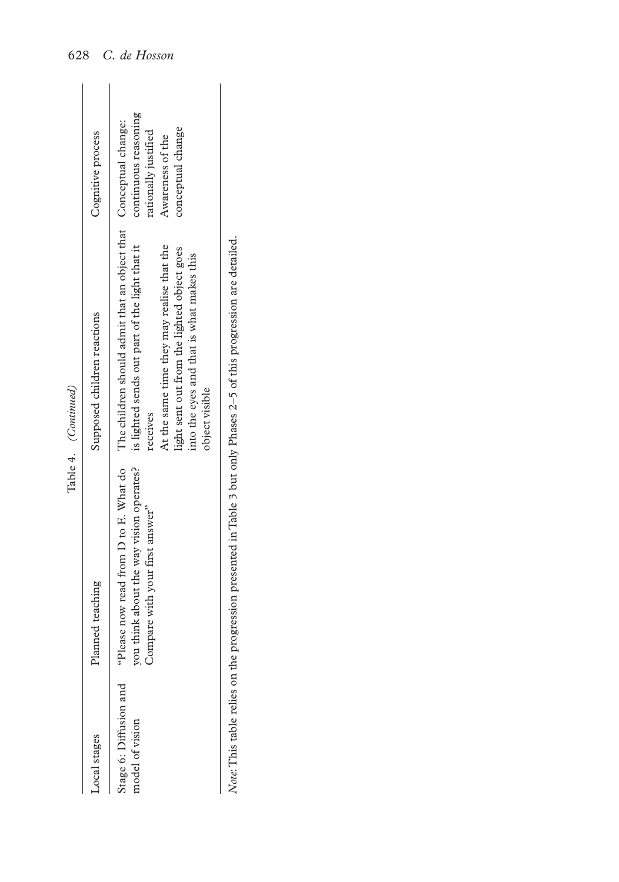|                      | Cognitive process           | continuous reasoning<br>conceptual change<br>rationally justified<br>Awareness of the                                                                                                                                                                                                      |
|----------------------|-----------------------------|--------------------------------------------------------------------------------------------------------------------------------------------------------------------------------------------------------------------------------------------------------------------------------------------|
| Table 4. (Continued) | Supposed children reactions | The children should admit that an object that Conceptual change:<br>is lighted sends out part of the light that it<br>At the same time they may realise that the<br>light sent out from the lighted object goes<br>into the eyes and that is what makes this<br>object visible<br>receives |
|                      | Planned teaching            | "Please now read from D to E. What do<br>you think about the way vision operates?<br>Compare with your first answer"                                                                                                                                                                       |
|                      | Local stages                | Itage 6: Diffusion and<br>nodel of vision                                                                                                                                                                                                                                                  |

Note: This table relies on the progression presented in Table 3 but only Phases 2-5 of this progression are detailed. *Note*: This table relies on the progression presented in Table 3 but only Phases 2–5 of this progression are detailed.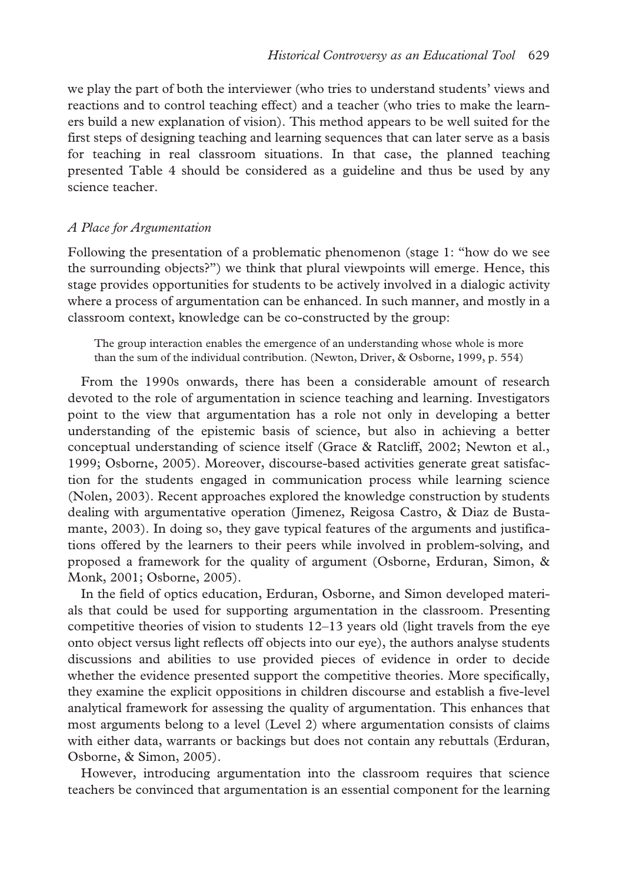we play the part of both the interviewer (who tries to understand students' views and reactions and to control teaching effect) and a teacher (who tries to make the learners build a new explanation of vision). This method appears to be well suited for the first steps of designing teaching and learning sequences that can later serve as a basis for teaching in real classroom situations. In that case, the planned teaching presented Table 4 should be considered as a guideline and thus be used by any science teacher.

### *A Place for Argumentation*

Following the presentation of a problematic phenomenon (stage 1: "how do we see the surrounding objects?") we think that plural viewpoints will emerge. Hence, this stage provides opportunities for students to be actively involved in a dialogic activity where a process of argumentation can be enhanced. In such manner, and mostly in a classroom context, knowledge can be co-constructed by the group:

The group interaction enables the emergence of an understanding whose whole is more than the sum of the individual contribution. (Newton, Driver, & Osborne, 1999, p. 554)

From the 1990s onwards, there has been a considerable amount of research devoted to the role of argumentation in science teaching and learning. Investigators point to the view that argumentation has a role not only in developing a better understanding of the epistemic basis of science, but also in achieving a better conceptual understanding of science itself (Grace & Ratcliff, 2002; Newton et al., 1999; Osborne, 2005). Moreover, discourse-based activities generate great satisfaction for the students engaged in communication process while learning science (Nolen, 2003). Recent approaches explored the knowledge construction by students dealing with argumentative operation (Jimenez, Reigosa Castro, & Diaz de Bustamante, 2003). In doing so, they gave typical features of the arguments and justifications offered by the learners to their peers while involved in problem-solving, and proposed a framework for the quality of argument (Osborne, Erduran, Simon, & Monk, 2001; Osborne, 2005).

In the field of optics education, Erduran, Osborne, and Simon developed materials that could be used for supporting argumentation in the classroom. Presenting competitive theories of vision to students 12–13 years old (light travels from the eye onto object versus light reflects off objects into our eye), the authors analyse students discussions and abilities to use provided pieces of evidence in order to decide whether the evidence presented support the competitive theories. More specifically, they examine the explicit oppositions in children discourse and establish a five-level analytical framework for assessing the quality of argumentation. This enhances that most arguments belong to a level (Level 2) where argumentation consists of claims with either data, warrants or backings but does not contain any rebuttals (Erduran, Osborne, & Simon, 2005).

However, introducing argumentation into the classroom requires that science teachers be convinced that argumentation is an essential component for the learning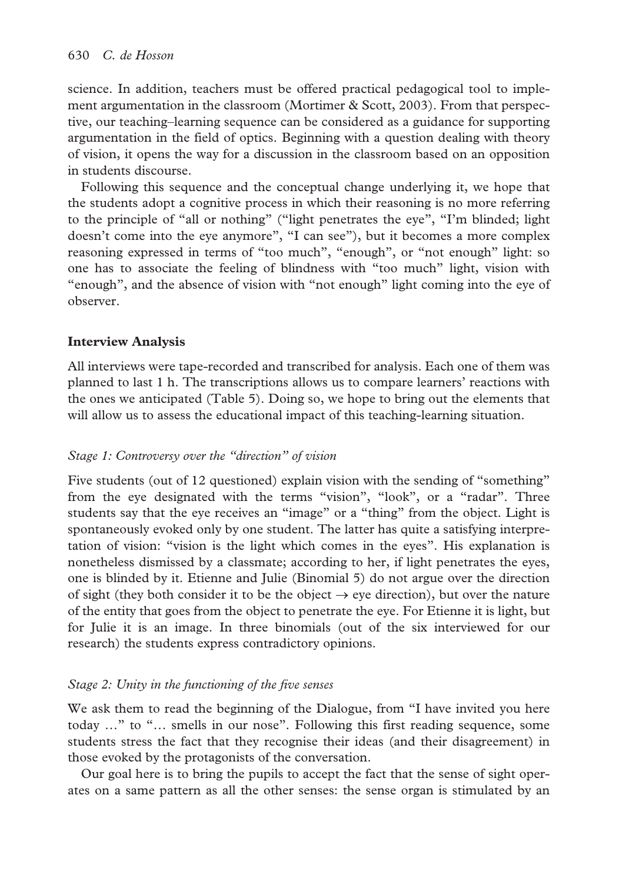science. In addition, teachers must be offered practical pedagogical tool to implement argumentation in the classroom (Mortimer  $\&$  Scott, 2003). From that perspective, our teaching–learning sequence can be considered as a guidance for supporting argumentation in the field of optics. Beginning with a question dealing with theory of vision, it opens the way for a discussion in the classroom based on an opposition in students discourse.

Following this sequence and the conceptual change underlying it, we hope that the students adopt a cognitive process in which their reasoning is no more referring to the principle of "all or nothing" ("light penetrates the eye", "I'm blinded; light doesn't come into the eye anymore", "I can see"), but it becomes a more complex reasoning expressed in terms of "too much", "enough", or "not enough" light: so one has to associate the feeling of blindness with "too much" light, vision with "enough", and the absence of vision with "not enough" light coming into the eye of observer.

# **Interview Analysis**

All interviews were tape-recorded and transcribed for analysis. Each one of them was planned to last 1 h. The transcriptions allows us to compare learners' reactions with the ones we anticipated (Table 5). Doing so, we hope to bring out the elements that will allow us to assess the educational impact of this teaching-learning situation.

# *Stage 1: Controversy over the "direction" of vision*

Five students (out of 12 questioned) explain vision with the sending of "something" from the eye designated with the terms "vision", "look", or a "radar". Three students say that the eye receives an "image" or a "thing" from the object. Light is spontaneously evoked only by one student. The latter has quite a satisfying interpretation of vision: "vision is the light which comes in the eyes". His explanation is nonetheless dismissed by a classmate; according to her, if light penetrates the eyes, one is blinded by it. Etienne and Julie (Binomial 5) do not argue over the direction of sight (they both consider it to be the object  $\rightarrow$  eye direction), but over the nature of the entity that goes from the object to penetrate the eye. For Etienne it is light, but for Julie it is an image. In three binomials (out of the six interviewed for our research) the students express contradictory opinions.

# *Stage 2: Unity in the functioning of the five senses*

We ask them to read the beginning of the Dialogue, from "I have invited you here today …" to "… smells in our nose". Following this first reading sequence, some students stress the fact that they recognise their ideas (and their disagreement) in those evoked by the protagonists of the conversation.

Our goal here is to bring the pupils to accept the fact that the sense of sight operates on a same pattern as all the other senses: the sense organ is stimulated by an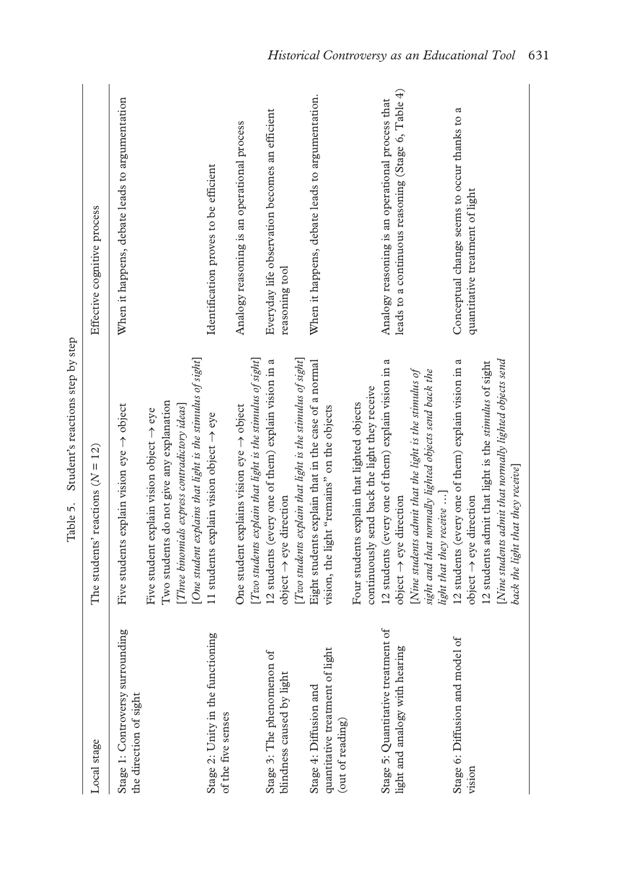|                                                                      | Student's reactions step by step<br>lable 5.                                                     |                                                                                                        |
|----------------------------------------------------------------------|--------------------------------------------------------------------------------------------------|--------------------------------------------------------------------------------------------------------|
| Local stage                                                          | The students' reactions ( $N = 12$ )                                                             | Effective cognitive process                                                                            |
| Stage 1: Controversy surrounding<br>the direction of sight           | Five students explain vision eye $\rightarrow$ object                                            | When it happens, debate leads to argumentation                                                         |
|                                                                      | Two students do not give any explanation<br>Five student explain vision object $\rightarrow$ eye |                                                                                                        |
|                                                                      | [Three binomials express contradictory ideas]                                                    |                                                                                                        |
|                                                                      | One student explains that light is the stimulus of sight]                                        |                                                                                                        |
| Stage 2: Unity in the functioning<br>of the five senses              | 11 students explain vision object $\rightarrow$ eye                                              | Identification proves to be efficient                                                                  |
|                                                                      | One student explains vision eye $\rightarrow$ object                                             | Analogy reasoning is an operational process                                                            |
|                                                                      | [Two students explain that light is the stimulus of sight]                                       |                                                                                                        |
| Stage 3: The phenomenon of                                           | 12 students (every one of them) explain vision in a                                              | Everyday life observation becomes an efficient                                                         |
| blindness caused by light                                            | object $\rightarrow$ eye direction                                                               | reasoning tool                                                                                         |
|                                                                      | [Two students explain that light is the stimulus of sight]                                       |                                                                                                        |
| Stage 4: Diffusion and                                               | Eight students explain that in the case of a normal                                              | When it happens, debate leads to argumentation.                                                        |
| quantitative treatment of light<br>(out of reading)                  | vision, the light "remains" on the objects                                                       |                                                                                                        |
|                                                                      | Four students explain that lighted objects                                                       |                                                                                                        |
|                                                                      | continuously send back the light they receive                                                    |                                                                                                        |
| Stage 5: Quantitative treatment of<br>light and analogy with hearing | a<br>12 students (every one of them) explain vision in<br>object $\rightarrow$ eye direction     | leads to a continuous reasoning (Stage 6, Table 4)<br>Analogy reasoning is an operational process that |
|                                                                      | [Nine students admit that the light is the stimulus of                                           |                                                                                                        |
|                                                                      | sight and that normally lighted objects send back the<br>light that they receive ]               |                                                                                                        |
| Stage 6: Diffusion and model of<br>vision                            | 12 students (every one of them) explain vision in a<br>object $\rightarrow$ eye direction        | Conceptual change seems to occur thanks to a<br>quantitative treatment of light                        |
|                                                                      | 12 students admit that light is the <i>stimulus</i> of sight                                     |                                                                                                        |
|                                                                      | back the light that they receive]                                                                |                                                                                                        |
|                                                                      | [Nine students admit that normally lighted objects send                                          |                                                                                                        |

Table 5. Student's reactions step by step ئى ń  $\frac{1}{2}$ J. ò  $\mathbf{u}$  $T_0 h$ le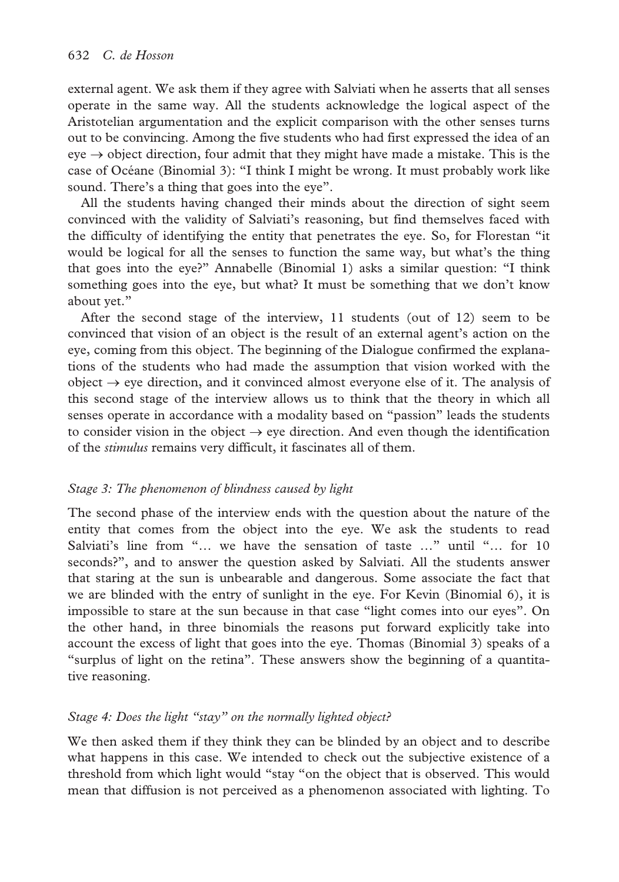external agent. We ask them if they agree with Salviati when he asserts that all senses operate in the same way. All the students acknowledge the logical aspect of the Aristotelian argumentation and the explicit comparison with the other senses turns out to be convincing. Among the five students who had first expressed the idea of an eye  $\rightarrow$  object direction, four admit that they might have made a mistake. This is the case of Océane (Binomial 3): "I think I might be wrong. It must probably work like sound. There's a thing that goes into the eye".

All the students having changed their minds about the direction of sight seem convinced with the validity of Salviati's reasoning, but find themselves faced with the difficulty of identifying the entity that penetrates the eye. So, for Florestan "it would be logical for all the senses to function the same way, but what's the thing that goes into the eye?" Annabelle (Binomial 1) asks a similar question: "I think something goes into the eye, but what? It must be something that we don't know about yet."

After the second stage of the interview, 11 students (out of 12) seem to be convinced that vision of an object is the result of an external agent's action on the eye, coming from this object. The beginning of the Dialogue confirmed the explanations of the students who had made the assumption that vision worked with the object  $\rightarrow$  eye direction, and it convinced almost everyone else of it. The analysis of this second stage of the interview allows us to think that the theory in which all senses operate in accordance with a modality based on "passion" leads the students to consider vision in the object  $\rightarrow$  eye direction. And even though the identification of the *stimulus* remains very difficult, it fascinates all of them.

### *Stage 3: The phenomenon of blindness caused by light*

The second phase of the interview ends with the question about the nature of the entity that comes from the object into the eye. We ask the students to read Salviati's line from "… we have the sensation of taste …" until "… for 10 seconds?", and to answer the question asked by Salviati. All the students answer that staring at the sun is unbearable and dangerous. Some associate the fact that we are blinded with the entry of sunlight in the eye. For Kevin (Binomial 6), it is impossible to stare at the sun because in that case "light comes into our eyes". On the other hand, in three binomials the reasons put forward explicitly take into account the excess of light that goes into the eye. Thomas (Binomial 3) speaks of a "surplus of light on the retina". These answers show the beginning of a quantitative reasoning.

### *Stage 4: Does the light "stay" on the normally lighted object?*

We then asked them if they think they can be blinded by an object and to describe what happens in this case. We intended to check out the subjective existence of a threshold from which light would "stay "on the object that is observed. This would mean that diffusion is not perceived as a phenomenon associated with lighting. To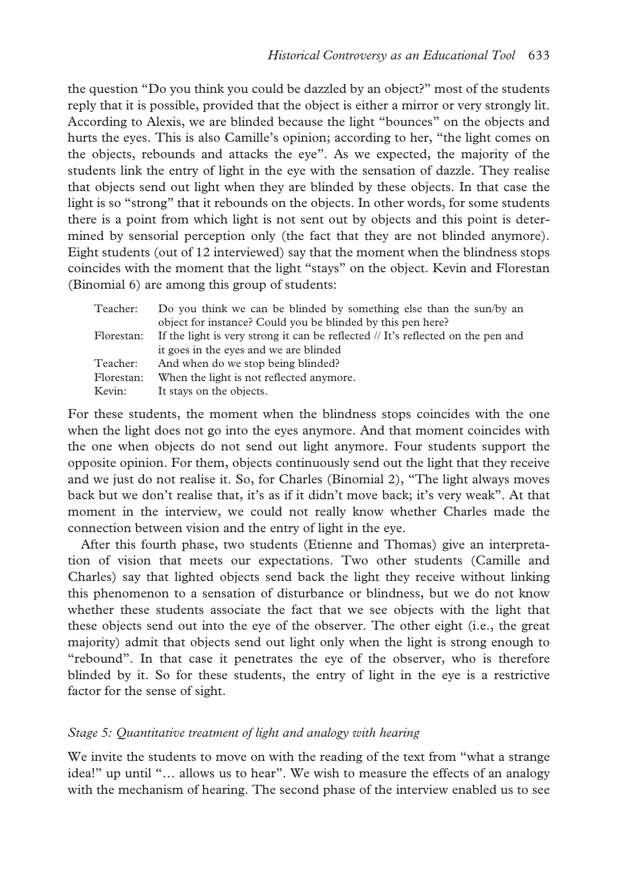the question "Do you think you could be dazzled by an object?" most of the students reply that it is possible, provided that the object is either a mirror or very strongly lit. According to Alexis, we are blinded because the light "bounces" on the objects and hurts the eyes. This is also Camille's opinion; according to her, "the light comes on the objects, rebounds and attacks the eye". As we expected, the majority of the students link the entry of light in the eye with the sensation of dazzle. They realise that objects send out light when they are blinded by these objects. In that case the light is so "strong" that it rebounds on the objects. In other words, for some students there is a point from which light is not sent out by objects and this point is determined by sensorial perception only (the fact that they are not blinded anymore). Eight students (out of 12 interviewed) say that the moment when the blindness stops coincides with the moment that the light "stays" on the object. Kevin and Florestan (Binomial 6) are among this group of students:

| Teacher:   | Do you think we can be blinded by something else than the sun/by an                |
|------------|------------------------------------------------------------------------------------|
|            | object for instance? Could you be blinded by this pen here?                        |
| Florestan: | If the light is very strong it can be reflected $//$ It's reflected on the pen and |
|            | it goes in the eyes and we are blinded                                             |
| Teacher:   | And when do we stop being blinded?                                                 |
| Florestan: | When the light is not reflected anymore.                                           |
| Kevin:     | It stays on the objects.                                                           |

For these students, the moment when the blindness stops coincides with the one when the light does not go into the eyes anymore. And that moment coincides with the one when objects do not send out light anymore. Four students support the opposite opinion. For them, objects continuously send out the light that they receive and we just do not realise it. So, for Charles (Binomial 2), "The light always moves back but we don't realise that, it's as if it didn't move back; it's very weak". At that moment in the interview, we could not really know whether Charles made the connection between vision and the entry of light in the eye.

After this fourth phase, two students (Etienne and Thomas) give an interpretation of vision that meets our expectations. Two other students (Camille and Charles) say that lighted objects send back the light they receive without linking this phenomenon to a sensation of disturbance or blindness, but we do not know whether these students associate the fact that we see objects with the light that these objects send out into the eye of the observer. The other eight (i.e., the great majority) admit that objects send out light only when the light is strong enough to "rebound". In that case it penetrates the eye of the observer, who is therefore blinded by it. So for these students, the entry of light in the eye is a restrictive factor for the sense of sight.

### *Stage 5: Quantitative treatment of light and analogy with hearing*

We invite the students to move on with the reading of the text from "what a strange idea!" up until "… allows us to hear". We wish to measure the effects of an analogy with the mechanism of hearing. The second phase of the interview enabled us to see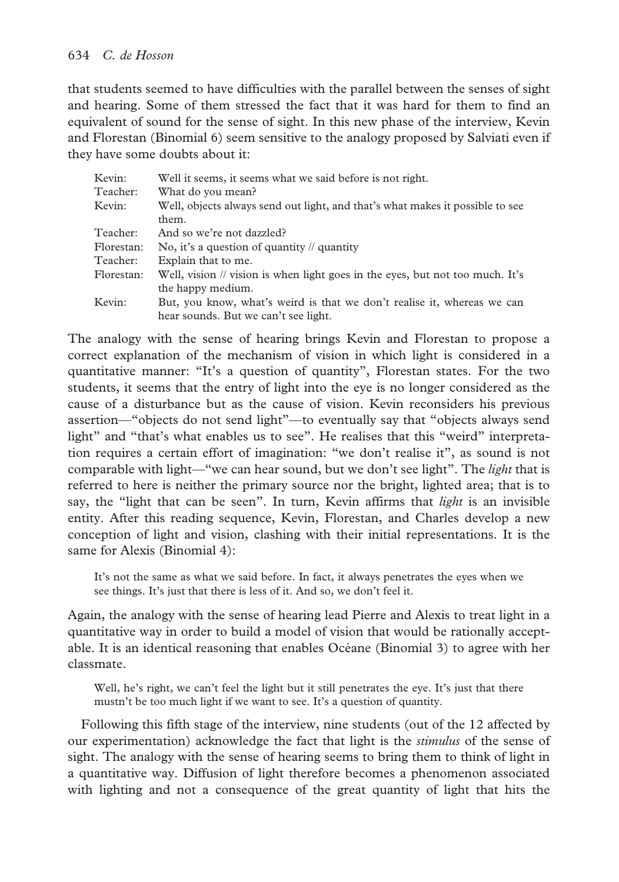# 634 *C. de Hosson*

that students seemed to have difficulties with the parallel between the senses of sight and hearing. Some of them stressed the fact that it was hard for them to find an equivalent of sound for the sense of sight. In this new phase of the interview, Kevin and Florestan (Binomial 6) seem sensitive to the analogy proposed by Salviati even if they have some doubts about it:

| Kevin:     | Well it seems, it seems what we said before is not right.                                          |
|------------|----------------------------------------------------------------------------------------------------|
| Teacher:   | What do you mean?                                                                                  |
| Kevin:     | Well, objects always send out light, and that's what makes it possible to see<br>them.             |
| Teacher:   | And so we're not dazzled?                                                                          |
| Florestan: | No, it's a question of quantity $\theta$ quantity                                                  |
| Teacher:   | Explain that to me.                                                                                |
| Florestan: | Well, vision // vision is when light goes in the eyes, but not too much. It's<br>the happy medium. |
| Kevin:     | But, you know, what's weird is that we don't realise it, whereas we can                            |
|            | hear sounds. But we can't see light.                                                               |

The analogy with the sense of hearing brings Kevin and Florestan to propose a correct explanation of the mechanism of vision in which light is considered in a quantitative manner: "It's a question of quantity", Florestan states. For the two students, it seems that the entry of light into the eye is no longer considered as the cause of a disturbance but as the cause of vision. Kevin reconsiders his previous assertion—"objects do not send light"—to eventually say that "objects always send light" and "that's what enables us to see". He realises that this "weird" interpretation requires a certain effort of imagination: "we don't realise it", as sound is not comparable with light—"we can hear sound, but we don't see light". The *light* that is referred to here is neither the primary source nor the bright, lighted area; that is to say, the "light that can be seen". In turn, Kevin affirms that *light* is an invisible entity. After this reading sequence, Kevin, Florestan, and Charles develop a new conception of light and vision, clashing with their initial representations. It is the same for Alexis (Binomial 4):

It's not the same as what we said before. In fact, it always penetrates the eyes when we see things. It's just that there is less of it. And so, we don't feel it.

Again, the analogy with the sense of hearing lead Pierre and Alexis to treat light in a quantitative way in order to build a model of vision that would be rationally acceptable. It is an identical reasoning that enables Océane (Binomial 3) to agree with her classmate.

Well, he's right, we can't feel the light but it still penetrates the eye. It's just that there mustn't be too much light if we want to see. It's a question of quantity.

Following this fifth stage of the interview, nine students (out of the 12 affected by our experimentation) acknowledge the fact that light is the *stimulus* of the sense of sight. The analogy with the sense of hearing seems to bring them to think of light in a quantitative way. Diffusion of light therefore becomes a phenomenon associated with lighting and not a consequence of the great quantity of light that hits the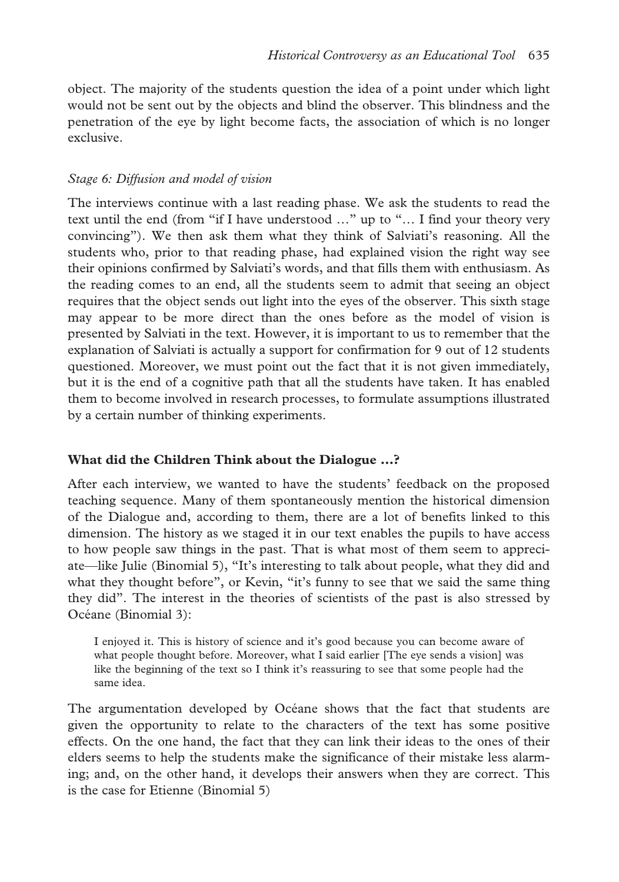object. The majority of the students question the idea of a point under which light would not be sent out by the objects and blind the observer. This blindness and the penetration of the eye by light become facts, the association of which is no longer exclusive.

### *Stage 6: Diffusion and model of vision*

The interviews continue with a last reading phase. We ask the students to read the text until the end (from "if I have understood …" up to "… I find your theory very convincing"). We then ask them what they think of Salviati's reasoning. All the students who, prior to that reading phase, had explained vision the right way see their opinions confirmed by Salviati's words, and that fills them with enthusiasm. As the reading comes to an end, all the students seem to admit that seeing an object requires that the object sends out light into the eyes of the observer. This sixth stage may appear to be more direct than the ones before as the model of vision is presented by Salviati in the text. However, it is important to us to remember that the explanation of Salviati is actually a support for confirmation for 9 out of 12 students questioned. Moreover, we must point out the fact that it is not given immediately, but it is the end of a cognitive path that all the students have taken. It has enabled them to become involved in research processes, to formulate assumptions illustrated by a certain number of thinking experiments.

# **What did the Children Think about the Dialogue …?**

After each interview, we wanted to have the students' feedback on the proposed teaching sequence. Many of them spontaneously mention the historical dimension of the Dialogue and, according to them, there are a lot of benefits linked to this dimension. The history as we staged it in our text enables the pupils to have access to how people saw things in the past. That is what most of them seem to appreciate—like Julie (Binomial 5), "It's interesting to talk about people, what they did and what they thought before", or Kevin, "it's funny to see that we said the same thing they did". The interest in the theories of scientists of the past is also stressed by Océane (Binomial 3):

I enjoyed it. This is history of science and it's good because you can become aware of what people thought before. Moreover, what I said earlier [The eye sends a vision] was like the beginning of the text so I think it's reassuring to see that some people had the same idea.

The argumentation developed by Océane shows that the fact that students are given the opportunity to relate to the characters of the text has some positive effects. On the one hand, the fact that they can link their ideas to the ones of their elders seems to help the students make the significance of their mistake less alarming; and, on the other hand, it develops their answers when they are correct. This is the case for Etienne (Binomial 5)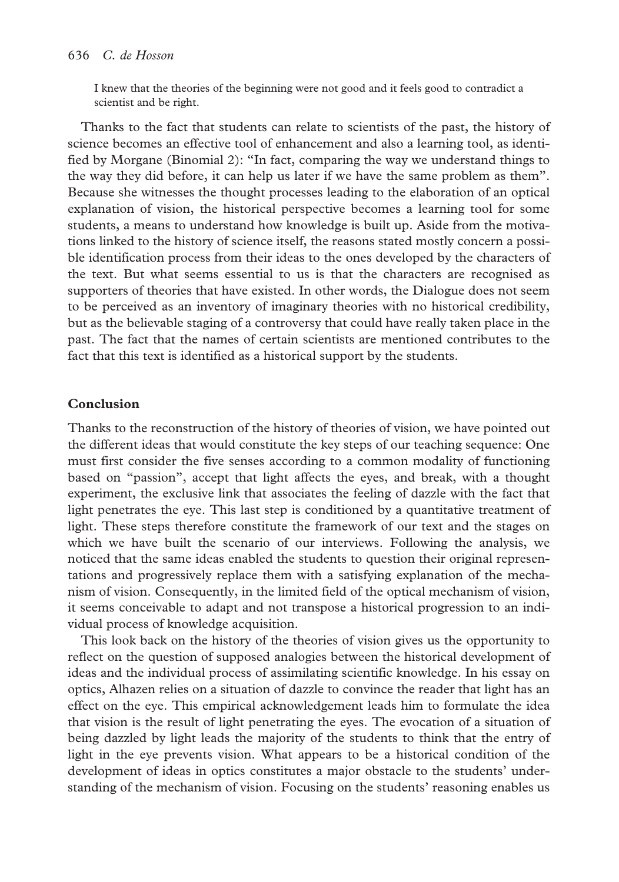# 636 *C. de Hosson*

I knew that the theories of the beginning were not good and it feels good to contradict a scientist and be right.

Thanks to the fact that students can relate to scientists of the past, the history of science becomes an effective tool of enhancement and also a learning tool, as identified by Morgane (Binomial 2): "In fact, comparing the way we understand things to the way they did before, it can help us later if we have the same problem as them". Because she witnesses the thought processes leading to the elaboration of an optical explanation of vision, the historical perspective becomes a learning tool for some students, a means to understand how knowledge is built up. Aside from the motivations linked to the history of science itself, the reasons stated mostly concern a possible identification process from their ideas to the ones developed by the characters of the text. But what seems essential to us is that the characters are recognised as supporters of theories that have existed. In other words, the Dialogue does not seem to be perceived as an inventory of imaginary theories with no historical credibility, but as the believable staging of a controversy that could have really taken place in the past. The fact that the names of certain scientists are mentioned contributes to the fact that this text is identified as a historical support by the students.

# **Conclusion**

Thanks to the reconstruction of the history of theories of vision, we have pointed out the different ideas that would constitute the key steps of our teaching sequence: One must first consider the five senses according to a common modality of functioning based on "passion", accept that light affects the eyes, and break, with a thought experiment, the exclusive link that associates the feeling of dazzle with the fact that light penetrates the eye. This last step is conditioned by a quantitative treatment of light. These steps therefore constitute the framework of our text and the stages on which we have built the scenario of our interviews. Following the analysis, we noticed that the same ideas enabled the students to question their original representations and progressively replace them with a satisfying explanation of the mechanism of vision. Consequently, in the limited field of the optical mechanism of vision, it seems conceivable to adapt and not transpose a historical progression to an individual process of knowledge acquisition.

This look back on the history of the theories of vision gives us the opportunity to reflect on the question of supposed analogies between the historical development of ideas and the individual process of assimilating scientific knowledge. In his essay on optics, Alhazen relies on a situation of dazzle to convince the reader that light has an effect on the eye. This empirical acknowledgement leads him to formulate the idea that vision is the result of light penetrating the eyes. The evocation of a situation of being dazzled by light leads the majority of the students to think that the entry of light in the eye prevents vision. What appears to be a historical condition of the development of ideas in optics constitutes a major obstacle to the students' understanding of the mechanism of vision. Focusing on the students' reasoning enables us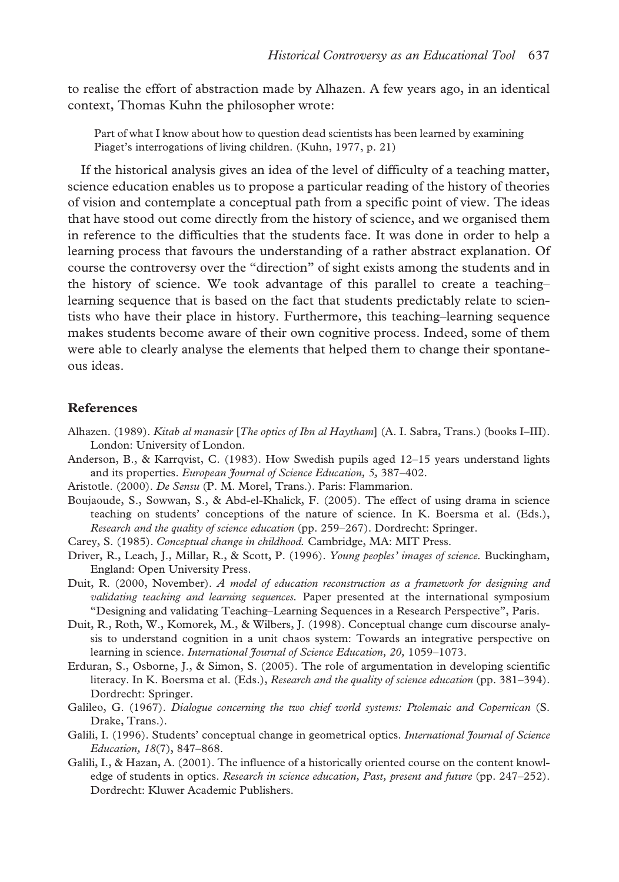to realise the effort of abstraction made by Alhazen. A few years ago, in an identical context, Thomas Kuhn the philosopher wrote:

Part of what I know about how to question dead scientists has been learned by examining Piaget's interrogations of living children. (Kuhn, 1977, p. 21)

If the historical analysis gives an idea of the level of difficulty of a teaching matter, science education enables us to propose a particular reading of the history of theories of vision and contemplate a conceptual path from a specific point of view. The ideas that have stood out come directly from the history of science, and we organised them in reference to the difficulties that the students face. It was done in order to help a learning process that favours the understanding of a rather abstract explanation. Of course the controversy over the "direction" of sight exists among the students and in the history of science. We took advantage of this parallel to create a teaching– learning sequence that is based on the fact that students predictably relate to scientists who have their place in history. Furthermore, this teaching–learning sequence makes students become aware of their own cognitive process. Indeed, some of them were able to clearly analyse the elements that helped them to change their spontaneous ideas.

### **References**

- Alhazen. (1989). *Kitab al manazir* [*The optics of Ibn al Haytham*] (A. I. Sabra, Trans.) (books I–III). London: University of London.
- Anderson, B., & Karrqvist, C. (1983). How Swedish pupils aged 12–15 years understand lights and its properties. *European Journal of Science Education, 5,* 387–402.
- Aristotle. (2000). *De Sensu* (P. M. Morel, Trans.). Paris: Flammarion.
- Boujaoude, S., Sowwan, S., & Abd-el-Khalick, F. (2005). The effect of using drama in science teaching on students' conceptions of the nature of science. In K. Boersma et al. (Eds.), *Research and the quality of science education* (pp. 259–267). Dordrecht: Springer.
- Carey, S. (1985). *Conceptual change in childhood.* Cambridge, MA: MIT Press.
- Driver, R., Leach, J., Millar, R., & Scott, P. (1996). *Young peoples' images of science.* Buckingham, England: Open University Press.
- Duit, R. (2000, November). *A model of education reconstruction as a framework for designing and validating teaching and learning sequences.* Paper presented at the international symposium "Designing and validating Teaching–Learning Sequences in a Research Perspective", Paris.
- Duit, R., Roth, W., Komorek, M., & Wilbers, J. (1998). Conceptual change cum discourse analysis to understand cognition in a unit chaos system: Towards an integrative perspective on learning in science. *International Journal of Science Education, 20,* 1059–1073.
- Erduran, S., Osborne, J., & Simon, S. (2005). The role of argumentation in developing scientific literacy. In K. Boersma et al. (Eds.), *Research and the quality of science education* (pp. 381–394). Dordrecht: Springer.
- Galileo, G. (1967). *Dialogue concerning the two chief world systems: Ptolemaic and Copernican* (S. Drake, Trans.).
- Galili, I. (1996). Students' conceptual change in geometrical optics. *International Journal of Science Education, 18*(7), 847–868.
- Galili, I., & Hazan, A. (2001). The influence of a historically oriented course on the content knowledge of students in optics. *Research in science education*, Past, present and future (pp. 247–252). Dordrecht: Kluwer Academic Publishers.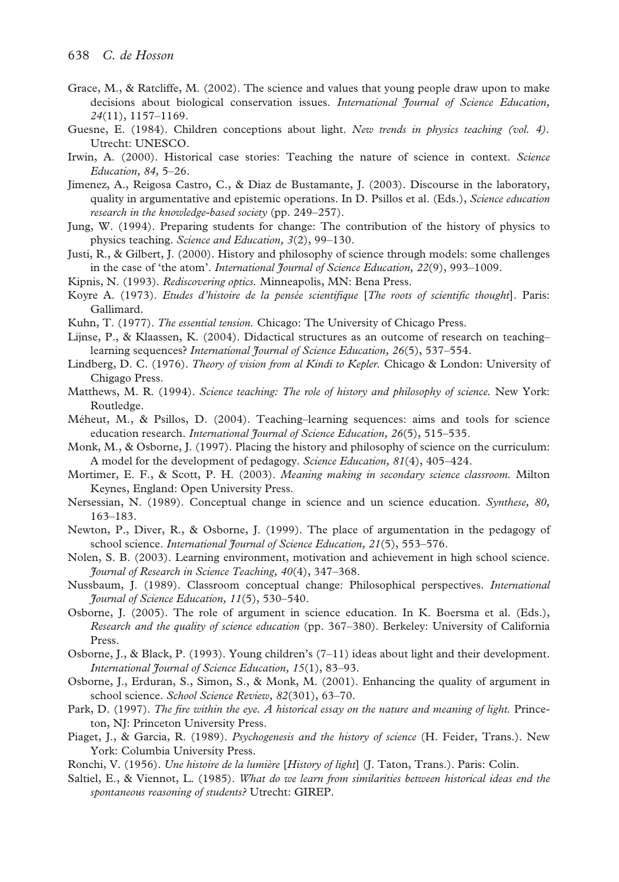- Grace, M., & Ratcliffe, M. (2002). The science and values that young people draw upon to make decisions about biological conservation issues. *International Journal of Science Education, 24*(11), 1157–1169.
- Guesne, E. (1984). Children conceptions about light. *New trends in physics teaching (vol. 4).* Utrecht: UNESCO.
- Irwin, A. (2000). Historical case stories: Teaching the nature of science in context. *Science Education, 84,* 5–26.
- Jimenez, A., Reigosa Castro, C., & Diaz de Bustamante, J. (2003). Discourse in the laboratory, quality in argumentative and epistemic operations. In D. Psillos et al. (Eds.), *Science education research in the knowledge-based society* (pp. 249–257).
- Jung, W. (1994). Preparing students for change: The contribution of the history of physics to physics teaching. *Science and Education, 3*(2), 99–130.
- Justi, R., & Gilbert, J. (2000). History and philosophy of science through models: some challenges in the case of 'the atom'. *International Journal of Science Education, 22*(9), 993–1009.
- Kipnis, N. (1993). *Rediscovering optics.* Minneapolis, MN: Bena Press.
- Koyre A. (1973). *Etudes d'histoire de la pensée scientifique* [*The roots of scientific thought*]. Paris: Gallimard.
- Kuhn, T. (1977). *The essential tension.* Chicago: The University of Chicago Press.
- Lijnse, P., & Klaassen, K. (2004). Didactical structures as an outcome of research on teaching– learning sequences? *International Journal of Science Education, 26*(5), 537–554.
- Lindberg, D. C. (1976). *Theory of vision from al Kindi to Kepler.* Chicago & London: University of Chigago Press.
- Matthews, M. R. (1994). *Science teaching: The role of history and philosophy of science.* New York: Routledge.
- Méheut, M., & Psillos, D. (2004). Teaching–learning sequences: aims and tools for science education research. *International Journal of Science Education, 26*(5), 515–535.
- Monk, M., & Osborne, J. (1997). Placing the history and philosophy of science on the curriculum: A model for the development of pedagogy. *Science Education, 81*(4), 405–424.
- Mortimer, E. F., & Scott, P. H. (2003). *Meaning making in secondary science classroom.* Milton Keynes, England: Open University Press.
- Nersessian, N. (1989). Conceptual change in science and un science education. *Synthese, 80,* 163–183.
- Newton, P., Diver, R., & Osborne, J. (1999). The place of argumentation in the pedagogy of school science. *International Journal of Science Education, 21*(5), 553–576.
- Nolen, S. B. (2003). Learning environment, motivation and achievement in high school science. *Journal of Research in Science Teaching, 40*(4), 347–368.
- Nussbaum, J. (1989). Classroom conceptual change: Philosophical perspectives. *International Journal of Science Education, 11*(5), 530–540.
- Osborne, J. (2005). The role of argument in science education. In K. Boersma et al. (Eds.), *Research and the quality of science education* (pp. 367–380). Berkeley: University of California Press.
- Osborne, J., & Black, P. (1993). Young children's (7–11) ideas about light and their development. *International Journal of Science Education, 15*(1), 83–93.
- Osborne, J., Erduran, S., Simon, S., & Monk, M. (2001). Enhancing the quality of argument in school science. *School Science Review, 82*(301), 63–70.
- Park, D. (1997). *The fire within the eye. A historical essay on the nature and meaning of light.* Princeton, NJ: Princeton University Press.
- Piaget, J., & Garcia, R. (1989). *Psychogenesis and the history of science* (H. Feider, Trans.). New York: Columbia University Press.
- Ronchi, V. (1956). *Une histoire de la lumière* [*History of light*] (J. Taton, Trans.). Paris: Colin.
- Saltiel, E., & Viennot, L. (1985). *What do we learn from similarities between historical ideas end the spontaneous reasoning of students?* Utrecht: GIREP.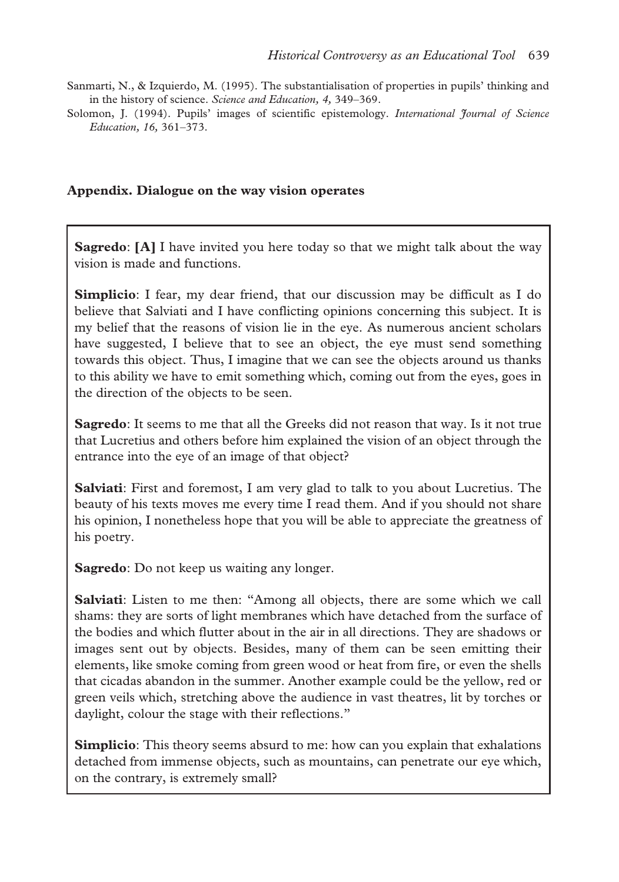Sanmarti, N., & Izquierdo, M. (1995). The substantialisation of properties in pupils' thinking and in the history of science. *Science and Education, 4,* 349–369.

Solomon, J. (1994). Pupils' images of scientific epistemology. *International Journal of Science Education, 16,* 361–373.

# **Appendix. Dialogue on the way vision operates**

**Sagredo:** [A] I have invited you here today so that we might talk about the way vision is made and functions.

**Simplicio**: I fear, my dear friend, that our discussion may be difficult as I do believe that Salviati and I have conflicting opinions concerning this subject. It is my belief that the reasons of vision lie in the eye. As numerous ancient scholars have suggested, I believe that to see an object, the eye must send something towards this object. Thus, I imagine that we can see the objects around us thanks to this ability we have to emit something which, coming out from the eyes, goes in the direction of the objects to be seen.

**Sagredo**: It seems to me that all the Greeks did not reason that way. Is it not true that Lucretius and others before him explained the vision of an object through the entrance into the eye of an image of that object?

**Salviati**: First and foremost, I am very glad to talk to you about Lucretius. The beauty of his texts moves me every time I read them. And if you should not share his opinion, I nonetheless hope that you will be able to appreciate the greatness of his poetry.

**Sagredo**: Do not keep us waiting any longer.

**Salviati**: Listen to me then: "Among all objects, there are some which we call shams: they are sorts of light membranes which have detached from the surface of the bodies and which flutter about in the air in all directions. They are shadows or images sent out by objects. Besides, many of them can be seen emitting their elements, like smoke coming from green wood or heat from fire, or even the shells that cicadas abandon in the summer. Another example could be the yellow, red or green veils which, stretching above the audience in vast theatres, lit by torches or daylight, colour the stage with their reflections."

**Simplicio**: This theory seems absurd to me: how can you explain that exhalations detached from immense objects, such as mountains, can penetrate our eye which, on the contrary, is extremely small?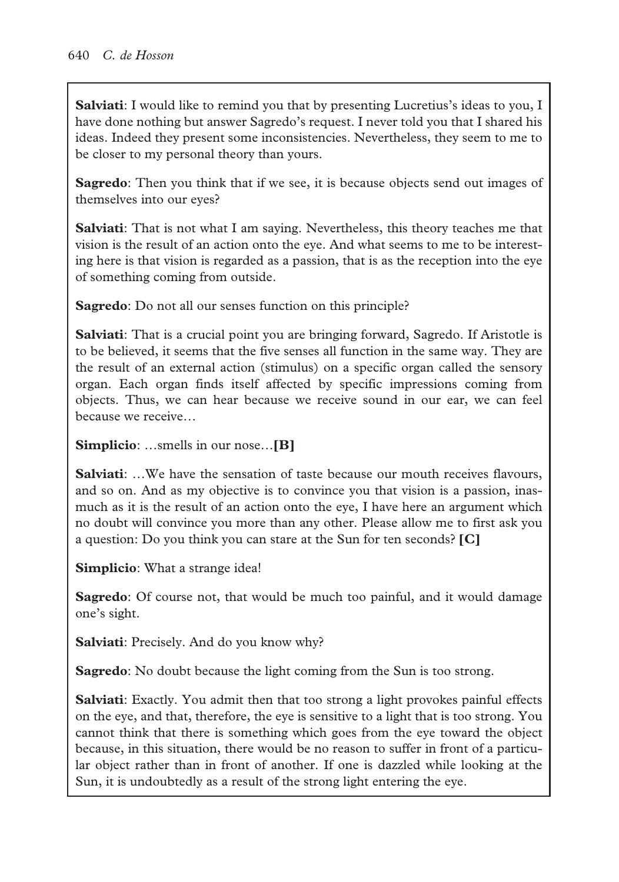**Salviati**: I would like to remind you that by presenting Lucretius's ideas to you, I have done nothing but answer Sagredo's request. I never told you that I shared his ideas. Indeed they present some inconsistencies. Nevertheless, they seem to me to be closer to my personal theory than yours.

**Sagredo**: Then you think that if we see, it is because objects send out images of themselves into our eyes?

**Salviati**: That is not what I am saying. Nevertheless, this theory teaches me that vision is the result of an action onto the eye. And what seems to me to be interesting here is that vision is regarded as a passion, that is as the reception into the eye of something coming from outside.

**Sagredo**: Do not all our senses function on this principle?

**Salviati**: That is a crucial point you are bringing forward, Sagredo. If Aristotle is to be believed, it seems that the five senses all function in the same way. They are the result of an external action (stimulus) on a specific organ called the sensory organ. Each organ finds itself affected by specific impressions coming from objects. Thus, we can hear because we receive sound in our ear, we can feel because we receive…

**Simplicio**: …smells in our nose…**[B]**

**Salviati**: …We have the sensation of taste because our mouth receives flavours, and so on. And as my objective is to convince you that vision is a passion, inasmuch as it is the result of an action onto the eye, I have here an argument which no doubt will convince you more than any other. Please allow me to first ask you a question: Do you think you can stare at the Sun for ten seconds? **[C]**

**Simplicio**: What a strange idea!

**Sagredo**: Of course not, that would be much too painful, and it would damage one's sight.

**Salviati**: Precisely. And do you know why?

**Sagredo**: No doubt because the light coming from the Sun is too strong.

**Salviati**: Exactly. You admit then that too strong a light provokes painful effects on the eye, and that, therefore, the eye is sensitive to a light that is too strong. You cannot think that there is something which goes from the eye toward the object because, in this situation, there would be no reason to suffer in front of a particular object rather than in front of another. If one is dazzled while looking at the Sun, it is undoubtedly as a result of the strong light entering the eye.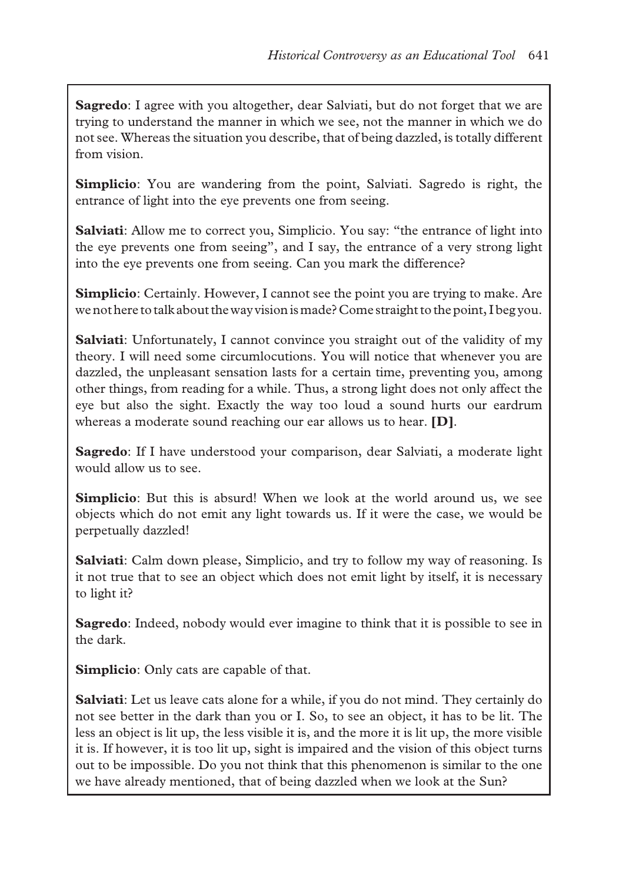**Sagredo**: I agree with you altogether, dear Salviati, but do not forget that we are trying to understand the manner in which we see, not the manner in which we do not see. Whereas the situation you describe, that of being dazzled, is totally different from vision.

**Simplicio**: You are wandering from the point, Salviati. Sagredo is right, the entrance of light into the eye prevents one from seeing.

**Salviati**: Allow me to correct you, Simplicio. You say: "the entrance of light into the eye prevents one from seeing", and I say, the entrance of a very strong light into the eye prevents one from seeing. Can you mark the difference?

**Simplicio**: Certainly. However, I cannot see the point you are trying to make. Are we not here to talk about the way vision is made? Come straight to the point, I beg you.

**Salviati**: Unfortunately, I cannot convince you straight out of the validity of my theory. I will need some circumlocutions. You will notice that whenever you are dazzled, the unpleasant sensation lasts for a certain time, preventing you, among other things, from reading for a while. Thus, a strong light does not only affect the eye but also the sight. Exactly the way too loud a sound hurts our eardrum whereas a moderate sound reaching our ear allows us to hear. **[D]**.

**Sagredo**: If I have understood your comparison, dear Salviati, a moderate light would allow us to see.

**Simplicio**: But this is absurd! When we look at the world around us, we see objects which do not emit any light towards us. If it were the case, we would be perpetually dazzled!

**Salviati**: Calm down please, Simplicio, and try to follow my way of reasoning. Is it not true that to see an object which does not emit light by itself, it is necessary to light it?

**Sagredo**: Indeed, nobody would ever imagine to think that it is possible to see in the dark.

**Simplicio**: Only cats are capable of that.

**Salviati**: Let us leave cats alone for a while, if you do not mind. They certainly do not see better in the dark than you or I. So, to see an object, it has to be lit. The less an object is lit up, the less visible it is, and the more it is lit up, the more visible it is. If however, it is too lit up, sight is impaired and the vision of this object turns out to be impossible. Do you not think that this phenomenon is similar to the one we have already mentioned, that of being dazzled when we look at the Sun?